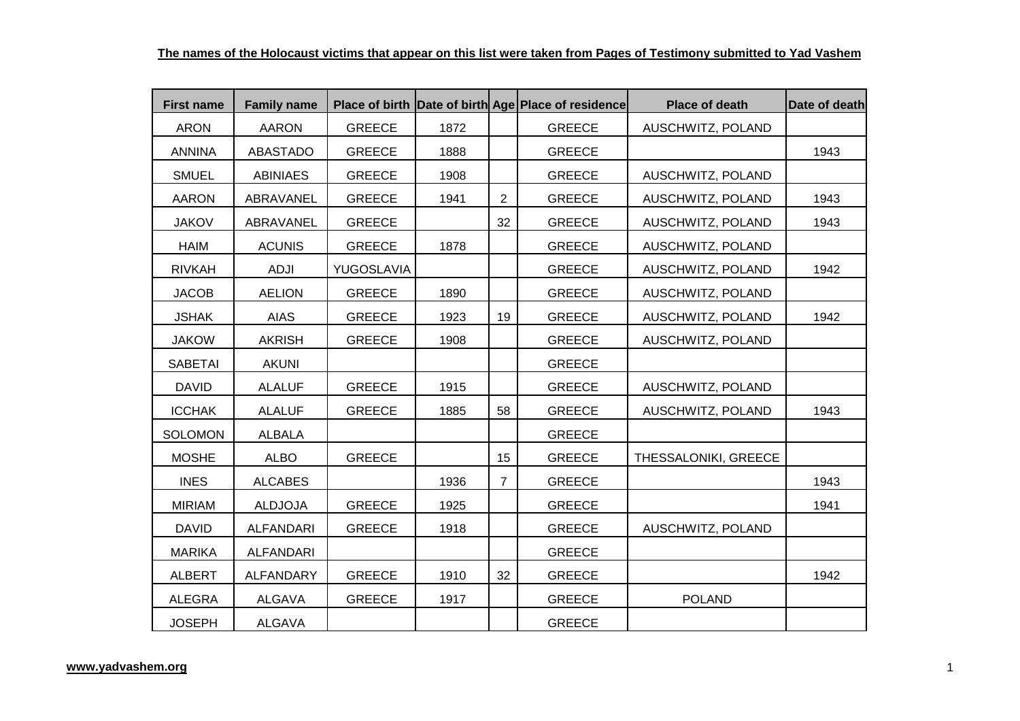| <b>First name</b> | <b>Family name</b> |               |      |                | Place of birth Date of birth Age Place of residence | Place of death       | Date of death |
|-------------------|--------------------|---------------|------|----------------|-----------------------------------------------------|----------------------|---------------|
| <b>ARON</b>       | <b>AARON</b>       | <b>GREECE</b> | 1872 |                | <b>GREECE</b>                                       | AUSCHWITZ, POLAND    |               |
| <b>ANNINA</b>     | <b>ABASTADO</b>    | <b>GREECE</b> | 1888 |                | <b>GREECE</b>                                       |                      | 1943          |
| <b>SMUEL</b>      | <b>ABINIAES</b>    | <b>GREECE</b> | 1908 |                | <b>GREECE</b>                                       | AUSCHWITZ, POLAND    |               |
| <b>AARON</b>      | ABRAVANEL          | <b>GREECE</b> | 1941 | $\overline{2}$ | <b>GREECE</b>                                       | AUSCHWITZ, POLAND    | 1943          |
| <b>JAKOV</b>      | ABRAVANEL          | <b>GREECE</b> |      | 32             | <b>GREECE</b>                                       | AUSCHWITZ, POLAND    | 1943          |
| <b>HAIM</b>       | <b>ACUNIS</b>      | <b>GREECE</b> | 1878 |                | <b>GREECE</b>                                       | AUSCHWITZ, POLAND    |               |
| <b>RIVKAH</b>     | <b>ADJI</b>        | YUGOSLAVIA    |      |                | <b>GREECE</b>                                       | AUSCHWITZ, POLAND    | 1942          |
| <b>JACOB</b>      | <b>AELION</b>      | <b>GREECE</b> | 1890 |                | <b>GREECE</b>                                       | AUSCHWITZ, POLAND    |               |
| <b>JSHAK</b>      | <b>AIAS</b>        | <b>GREECE</b> | 1923 | 19             | <b>GREECE</b>                                       | AUSCHWITZ, POLAND    | 1942          |
| <b>JAKOW</b>      | <b>AKRISH</b>      | <b>GREECE</b> | 1908 |                | <b>GREECE</b>                                       | AUSCHWITZ, POLAND    |               |
| <b>SABETAI</b>    | <b>AKUNI</b>       |               |      |                | <b>GREECE</b>                                       |                      |               |
| <b>DAVID</b>      | <b>ALALUF</b>      | <b>GREECE</b> | 1915 |                | <b>GREECE</b>                                       | AUSCHWITZ, POLAND    |               |
| <b>ICCHAK</b>     | <b>ALALUF</b>      | <b>GREECE</b> | 1885 | 58             | <b>GREECE</b>                                       | AUSCHWITZ, POLAND    | 1943          |
| <b>SOLOMON</b>    | <b>ALBALA</b>      |               |      |                | <b>GREECE</b>                                       |                      |               |
| <b>MOSHE</b>      | <b>ALBO</b>        | <b>GREECE</b> |      | 15             | <b>GREECE</b>                                       | THESSALONIKI, GREECE |               |
| <b>INES</b>       | <b>ALCABES</b>     |               | 1936 | $\overline{7}$ | <b>GREECE</b>                                       |                      | 1943          |
| <b>MIRIAM</b>     | <b>ALDJOJA</b>     | <b>GREECE</b> | 1925 |                | <b>GREECE</b>                                       |                      | 1941          |
| <b>DAVID</b>      | <b>ALFANDARI</b>   | <b>GREECE</b> | 1918 |                | <b>GREECE</b>                                       | AUSCHWITZ, POLAND    |               |
| <b>MARIKA</b>     | <b>ALFANDARI</b>   |               |      |                | <b>GREECE</b>                                       |                      |               |
| <b>ALBERT</b>     | <b>ALFANDARY</b>   | <b>GREECE</b> | 1910 | 32             | <b>GREECE</b>                                       |                      | 1942          |
| <b>ALEGRA</b>     | <b>ALGAVA</b>      | <b>GREECE</b> | 1917 |                | <b>GREECE</b>                                       | <b>POLAND</b>        |               |
| <b>JOSEPH</b>     | <b>ALGAVA</b>      |               |      |                | <b>GREECE</b>                                       |                      |               |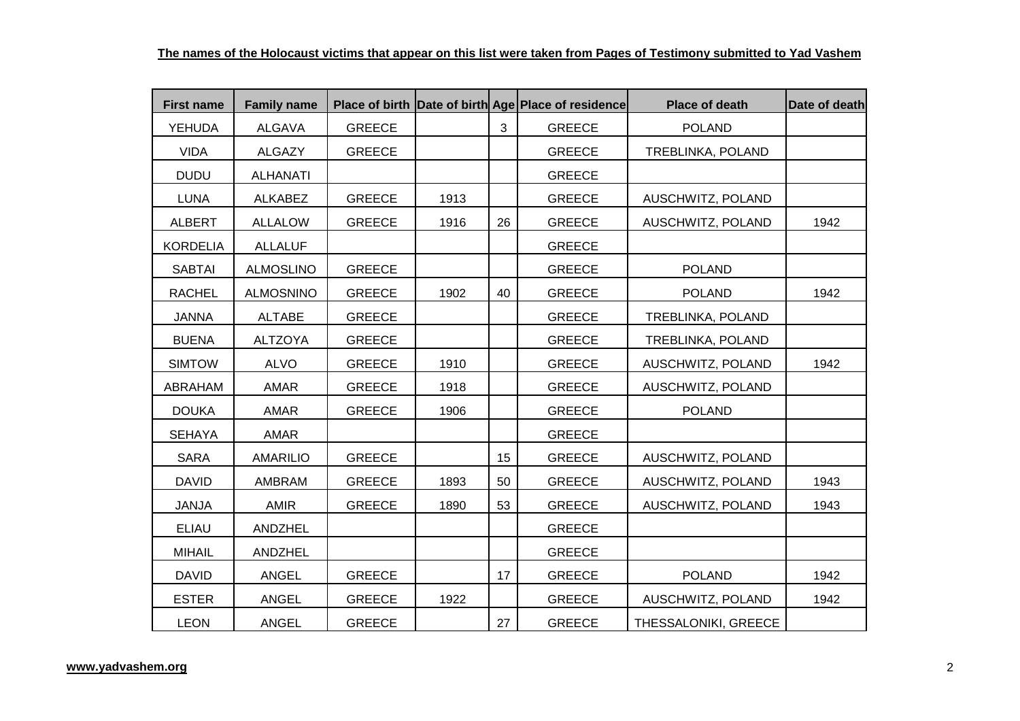| <b>First name</b> | <b>Family name</b> |               |      |    | Place of birth Date of birth Age Place of residence | <b>Place of death</b> | Date of death |
|-------------------|--------------------|---------------|------|----|-----------------------------------------------------|-----------------------|---------------|
| <b>YEHUDA</b>     | <b>ALGAVA</b>      | <b>GREECE</b> |      | 3  | <b>GREECE</b>                                       | <b>POLAND</b>         |               |
| <b>VIDA</b>       | <b>ALGAZY</b>      | <b>GREECE</b> |      |    | <b>GREECE</b>                                       | TREBLINKA, POLAND     |               |
| <b>DUDU</b>       | <b>ALHANATI</b>    |               |      |    | <b>GREECE</b>                                       |                       |               |
| <b>LUNA</b>       | <b>ALKABEZ</b>     | <b>GREECE</b> | 1913 |    | <b>GREECE</b>                                       | AUSCHWITZ, POLAND     |               |
| <b>ALBERT</b>     | <b>ALLALOW</b>     | <b>GREECE</b> | 1916 | 26 | <b>GREECE</b>                                       | AUSCHWITZ, POLAND     | 1942          |
| <b>KORDELIA</b>   | <b>ALLALUF</b>     |               |      |    | <b>GREECE</b>                                       |                       |               |
| <b>SABTAI</b>     | <b>ALMOSLINO</b>   | <b>GREECE</b> |      |    | <b>GREECE</b>                                       | <b>POLAND</b>         |               |
| <b>RACHEL</b>     | <b>ALMOSNINO</b>   | <b>GREECE</b> | 1902 | 40 | <b>GREECE</b>                                       | <b>POLAND</b>         | 1942          |
| <b>JANNA</b>      | <b>ALTABE</b>      | <b>GREECE</b> |      |    | <b>GREECE</b>                                       | TREBLINKA, POLAND     |               |
| <b>BUENA</b>      | <b>ALTZOYA</b>     | <b>GREECE</b> |      |    | <b>GREECE</b>                                       | TREBLINKA, POLAND     |               |
| <b>SIMTOW</b>     | <b>ALVO</b>        | <b>GREECE</b> | 1910 |    | <b>GREECE</b>                                       | AUSCHWITZ, POLAND     | 1942          |
| ABRAHAM           | AMAR               | <b>GREECE</b> | 1918 |    | <b>GREECE</b>                                       | AUSCHWITZ, POLAND     |               |
| <b>DOUKA</b>      | AMAR               | <b>GREECE</b> | 1906 |    | <b>GREECE</b>                                       | <b>POLAND</b>         |               |
| <b>SEHAYA</b>     | AMAR               |               |      |    | <b>GREECE</b>                                       |                       |               |
| <b>SARA</b>       | <b>AMARILIO</b>    | <b>GREECE</b> |      | 15 | <b>GREECE</b>                                       | AUSCHWITZ, POLAND     |               |
| <b>DAVID</b>      | AMBRAM             | <b>GREECE</b> | 1893 | 50 | <b>GREECE</b>                                       | AUSCHWITZ, POLAND     | 1943          |
| <b>JANJA</b>      | <b>AMIR</b>        | <b>GREECE</b> | 1890 | 53 | <b>GREECE</b>                                       | AUSCHWITZ, POLAND     | 1943          |
| <b>ELIAU</b>      | ANDZHEL            |               |      |    | <b>GREECE</b>                                       |                       |               |
| <b>MIHAIL</b>     | ANDZHEL            |               |      |    | <b>GREECE</b>                                       |                       |               |
| <b>DAVID</b>      | <b>ANGEL</b>       | <b>GREECE</b> |      | 17 | <b>GREECE</b>                                       | <b>POLAND</b>         | 1942          |
| <b>ESTER</b>      | <b>ANGEL</b>       | <b>GREECE</b> | 1922 |    | <b>GREECE</b>                                       | AUSCHWITZ, POLAND     | 1942          |
| <b>LEON</b>       | <b>ANGEL</b>       | <b>GREECE</b> |      | 27 | <b>GREECE</b>                                       | THESSALONIKI, GREECE  |               |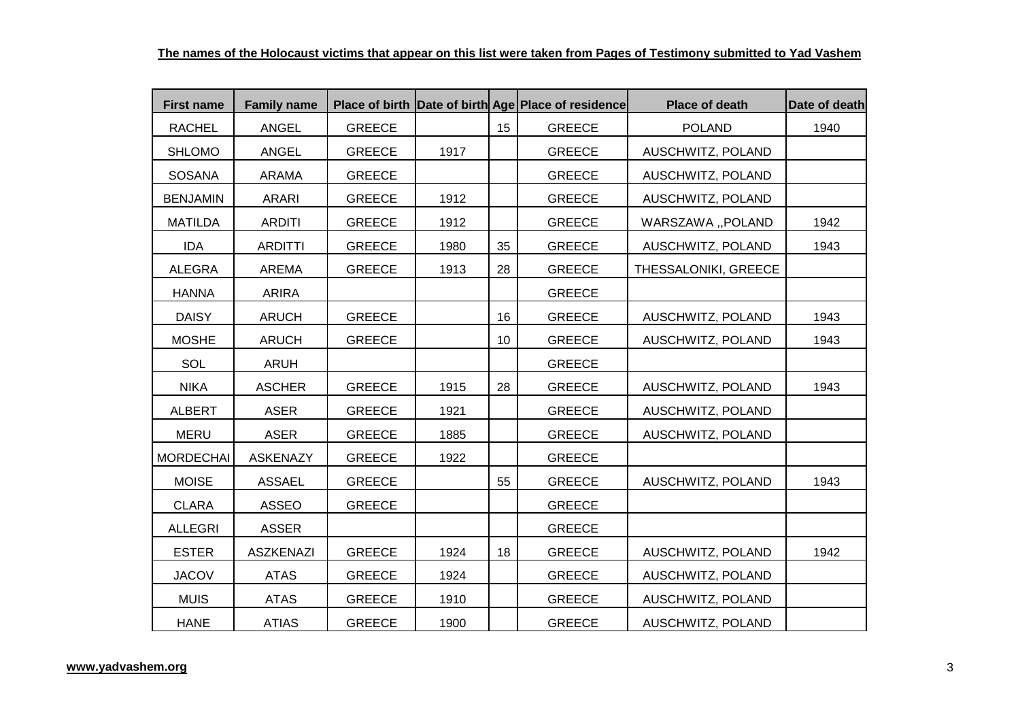| <b>First name</b> | <b>Family name</b> |               |      |    | Place of birth Date of birth Age Place of residence | <b>Place of death</b> | Date of death |
|-------------------|--------------------|---------------|------|----|-----------------------------------------------------|-----------------------|---------------|
| <b>RACHEL</b>     | <b>ANGEL</b>       | <b>GREECE</b> |      | 15 | <b>GREECE</b>                                       | <b>POLAND</b>         | 1940          |
| <b>SHLOMO</b>     | <b>ANGEL</b>       | <b>GREECE</b> | 1917 |    | <b>GREECE</b>                                       | AUSCHWITZ, POLAND     |               |
| SOSANA            | <b>ARAMA</b>       | <b>GREECE</b> |      |    | <b>GREECE</b>                                       | AUSCHWITZ, POLAND     |               |
| <b>BENJAMIN</b>   | <b>ARARI</b>       | <b>GREECE</b> | 1912 |    | <b>GREECE</b>                                       | AUSCHWITZ, POLAND     |               |
| <b>MATILDA</b>    | <b>ARDITI</b>      | <b>GREECE</b> | 1912 |    | <b>GREECE</b>                                       | WARSZAWA "POLAND      | 1942          |
| <b>IDA</b>        | <b>ARDITTI</b>     | <b>GREECE</b> | 1980 | 35 | <b>GREECE</b>                                       | AUSCHWITZ, POLAND     | 1943          |
| <b>ALEGRA</b>     | <b>AREMA</b>       | <b>GREECE</b> | 1913 | 28 | <b>GREECE</b>                                       | THESSALONIKI, GREECE  |               |
| <b>HANNA</b>      | <b>ARIRA</b>       |               |      |    | <b>GREECE</b>                                       |                       |               |
| <b>DAISY</b>      | <b>ARUCH</b>       | <b>GREECE</b> |      | 16 | <b>GREECE</b>                                       | AUSCHWITZ, POLAND     | 1943          |
| <b>MOSHE</b>      | <b>ARUCH</b>       | <b>GREECE</b> |      | 10 | <b>GREECE</b>                                       | AUSCHWITZ, POLAND     | 1943          |
| SOL               | <b>ARUH</b>        |               |      |    | <b>GREECE</b>                                       |                       |               |
| <b>NIKA</b>       | <b>ASCHER</b>      | <b>GREECE</b> | 1915 | 28 | <b>GREECE</b>                                       | AUSCHWITZ, POLAND     | 1943          |
| <b>ALBERT</b>     | <b>ASER</b>        | <b>GREECE</b> | 1921 |    | <b>GREECE</b>                                       | AUSCHWITZ, POLAND     |               |
| <b>MERU</b>       | <b>ASER</b>        | <b>GREECE</b> | 1885 |    | <b>GREECE</b>                                       | AUSCHWITZ, POLAND     |               |
| <b>MORDECHAI</b>  | <b>ASKENAZY</b>    | <b>GREECE</b> | 1922 |    | <b>GREECE</b>                                       |                       |               |
| <b>MOISE</b>      | <b>ASSAEL</b>      | <b>GREECE</b> |      | 55 | <b>GREECE</b>                                       | AUSCHWITZ, POLAND     | 1943          |
| <b>CLARA</b>      | <b>ASSEO</b>       | <b>GREECE</b> |      |    | <b>GREECE</b>                                       |                       |               |
| <b>ALLEGRI</b>    | <b>ASSER</b>       |               |      |    | <b>GREECE</b>                                       |                       |               |
| <b>ESTER</b>      | <b>ASZKENAZI</b>   | <b>GREECE</b> | 1924 | 18 | <b>GREECE</b>                                       | AUSCHWITZ, POLAND     | 1942          |
| <b>JACOV</b>      | <b>ATAS</b>        | <b>GREECE</b> | 1924 |    | <b>GREECE</b>                                       | AUSCHWITZ, POLAND     |               |
| <b>MUIS</b>       | <b>ATAS</b>        | <b>GREECE</b> | 1910 |    | <b>GREECE</b>                                       | AUSCHWITZ, POLAND     |               |
| <b>HANE</b>       | <b>ATIAS</b>       | <b>GREECE</b> | 1900 |    | <b>GREECE</b>                                       | AUSCHWITZ, POLAND     |               |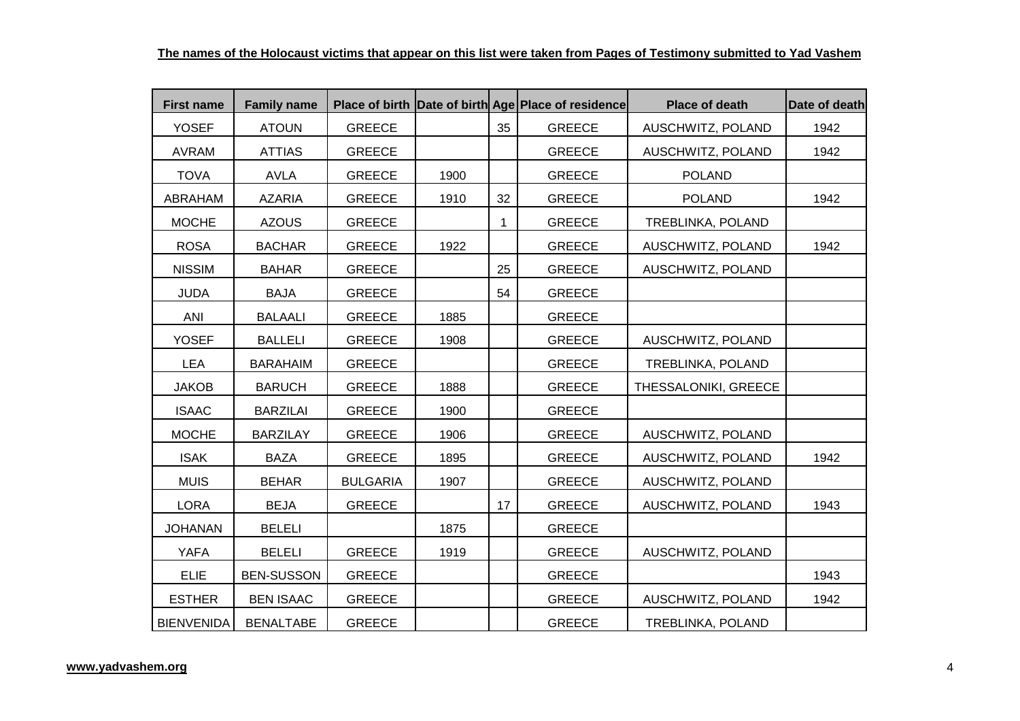| <b>First name</b> | <b>Family name</b> |                 |      |             | Place of birth Date of birth Age Place of residence | <b>Place of death</b> | Date of death |
|-------------------|--------------------|-----------------|------|-------------|-----------------------------------------------------|-----------------------|---------------|
| <b>YOSEF</b>      | <b>ATOUN</b>       | <b>GREECE</b>   |      | 35          | <b>GREECE</b>                                       | AUSCHWITZ, POLAND     | 1942          |
| <b>AVRAM</b>      | <b>ATTIAS</b>      | <b>GREECE</b>   |      |             | <b>GREECE</b>                                       | AUSCHWITZ, POLAND     | 1942          |
| <b>TOVA</b>       | <b>AVLA</b>        | <b>GREECE</b>   | 1900 |             | <b>GREECE</b>                                       | <b>POLAND</b>         |               |
| ABRAHAM           | <b>AZARIA</b>      | <b>GREECE</b>   | 1910 | 32          | <b>GREECE</b>                                       | <b>POLAND</b>         | 1942          |
| <b>MOCHE</b>      | <b>AZOUS</b>       | <b>GREECE</b>   |      | $\mathbf 1$ | <b>GREECE</b>                                       | TREBLINKA, POLAND     |               |
| <b>ROSA</b>       | <b>BACHAR</b>      | <b>GREECE</b>   | 1922 |             | <b>GREECE</b>                                       | AUSCHWITZ, POLAND     | 1942          |
| <b>NISSIM</b>     | <b>BAHAR</b>       | <b>GREECE</b>   |      | 25          | <b>GREECE</b>                                       | AUSCHWITZ, POLAND     |               |
| <b>JUDA</b>       | <b>BAJA</b>        | <b>GREECE</b>   |      | 54          | <b>GREECE</b>                                       |                       |               |
| ANI               | <b>BALAALI</b>     | <b>GREECE</b>   | 1885 |             | <b>GREECE</b>                                       |                       |               |
| <b>YOSEF</b>      | <b>BALLELI</b>     | <b>GREECE</b>   | 1908 |             | <b>GREECE</b>                                       | AUSCHWITZ, POLAND     |               |
| <b>LEA</b>        | <b>BARAHAIM</b>    | <b>GREECE</b>   |      |             | <b>GREECE</b>                                       | TREBLINKA, POLAND     |               |
| <b>JAKOB</b>      | <b>BARUCH</b>      | <b>GREECE</b>   | 1888 |             | <b>GREECE</b>                                       | THESSALONIKI, GREECE  |               |
| <b>ISAAC</b>      | <b>BARZILAI</b>    | <b>GREECE</b>   | 1900 |             | <b>GREECE</b>                                       |                       |               |
| <b>MOCHE</b>      | <b>BARZILAY</b>    | <b>GREECE</b>   | 1906 |             | <b>GREECE</b>                                       | AUSCHWITZ, POLAND     |               |
| <b>ISAK</b>       | <b>BAZA</b>        | <b>GREECE</b>   | 1895 |             | <b>GREECE</b>                                       | AUSCHWITZ, POLAND     | 1942          |
| <b>MUIS</b>       | <b>BEHAR</b>       | <b>BULGARIA</b> | 1907 |             | <b>GREECE</b>                                       | AUSCHWITZ, POLAND     |               |
| <b>LORA</b>       | <b>BEJA</b>        | <b>GREECE</b>   |      | 17          | <b>GREECE</b>                                       | AUSCHWITZ, POLAND     | 1943          |
| <b>JOHANAN</b>    | <b>BELELI</b>      |                 | 1875 |             | <b>GREECE</b>                                       |                       |               |
| <b>YAFA</b>       | <b>BELELI</b>      | <b>GREECE</b>   | 1919 |             | <b>GREECE</b>                                       | AUSCHWITZ, POLAND     |               |
| <b>ELIE</b>       | <b>BEN-SUSSON</b>  | <b>GREECE</b>   |      |             | <b>GREECE</b>                                       |                       | 1943          |
| <b>ESTHER</b>     | <b>BEN ISAAC</b>   | <b>GREECE</b>   |      |             | <b>GREECE</b>                                       | AUSCHWITZ, POLAND     | 1942          |
| <b>BIENVENIDA</b> | <b>BENALTABE</b>   | <b>GREECE</b>   |      |             | <b>GREECE</b>                                       | TREBLINKA, POLAND     |               |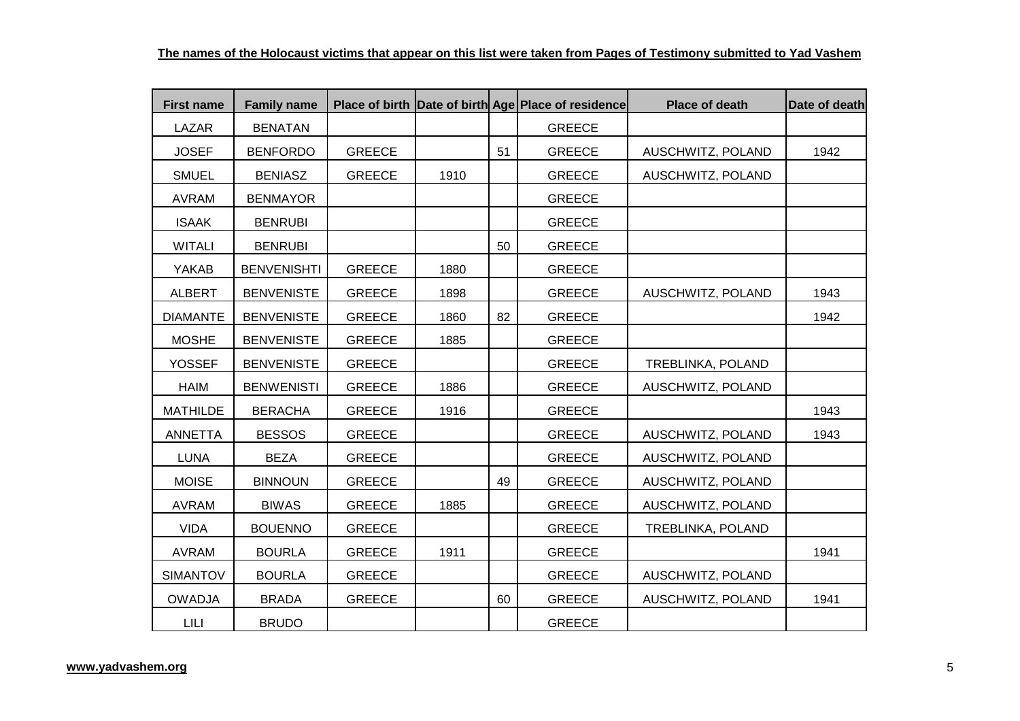| <b>First name</b> | <b>Family name</b> |               |      |    | Place of birth Date of birth Age Place of residence | <b>Place of death</b> | Date of death |
|-------------------|--------------------|---------------|------|----|-----------------------------------------------------|-----------------------|---------------|
| LAZAR             | <b>BENATAN</b>     |               |      |    | <b>GREECE</b>                                       |                       |               |
| <b>JOSEF</b>      | <b>BENFORDO</b>    | <b>GREECE</b> |      | 51 | <b>GREECE</b>                                       | AUSCHWITZ, POLAND     | 1942          |
| <b>SMUEL</b>      | <b>BENIASZ</b>     | <b>GREECE</b> | 1910 |    | <b>GREECE</b>                                       | AUSCHWITZ, POLAND     |               |
| <b>AVRAM</b>      | <b>BENMAYOR</b>    |               |      |    | <b>GREECE</b>                                       |                       |               |
| <b>ISAAK</b>      | <b>BENRUBI</b>     |               |      |    | <b>GREECE</b>                                       |                       |               |
| <b>WITALI</b>     | <b>BENRUBI</b>     |               |      | 50 | <b>GREECE</b>                                       |                       |               |
| YAKAB             | <b>BENVENISHTI</b> | <b>GREECE</b> | 1880 |    | <b>GREECE</b>                                       |                       |               |
| <b>ALBERT</b>     | <b>BENVENISTE</b>  | <b>GREECE</b> | 1898 |    | <b>GREECE</b>                                       | AUSCHWITZ, POLAND     | 1943          |
| <b>DIAMANTE</b>   | <b>BENVENISTE</b>  | <b>GREECE</b> | 1860 | 82 | <b>GREECE</b>                                       |                       | 1942          |
| <b>MOSHE</b>      | <b>BENVENISTE</b>  | <b>GREECE</b> | 1885 |    | <b>GREECE</b>                                       |                       |               |
| <b>YOSSEF</b>     | <b>BENVENISTE</b>  | <b>GREECE</b> |      |    | <b>GREECE</b>                                       | TREBLINKA, POLAND     |               |
| <b>HAIM</b>       | <b>BENWENISTI</b>  | <b>GREECE</b> | 1886 |    | <b>GREECE</b>                                       | AUSCHWITZ, POLAND     |               |
| <b>MATHILDE</b>   | <b>BERACHA</b>     | <b>GREECE</b> | 1916 |    | <b>GREECE</b>                                       |                       | 1943          |
| <b>ANNETTA</b>    | <b>BESSOS</b>      | <b>GREECE</b> |      |    | <b>GREECE</b>                                       | AUSCHWITZ, POLAND     | 1943          |
| <b>LUNA</b>       | <b>BEZA</b>        | <b>GREECE</b> |      |    | <b>GREECE</b>                                       | AUSCHWITZ, POLAND     |               |
| <b>MOISE</b>      | <b>BINNOUN</b>     | <b>GREECE</b> |      | 49 | <b>GREECE</b>                                       | AUSCHWITZ, POLAND     |               |
| <b>AVRAM</b>      | <b>BIWAS</b>       | <b>GREECE</b> | 1885 |    | <b>GREECE</b>                                       | AUSCHWITZ, POLAND     |               |
| <b>VIDA</b>       | <b>BOUENNO</b>     | <b>GREECE</b> |      |    | <b>GREECE</b>                                       | TREBLINKA, POLAND     |               |
| <b>AVRAM</b>      | <b>BOURLA</b>      | <b>GREECE</b> | 1911 |    | <b>GREECE</b>                                       |                       | 1941          |
| <b>SIMANTOV</b>   | <b>BOURLA</b>      | <b>GREECE</b> |      |    | <b>GREECE</b>                                       | AUSCHWITZ, POLAND     |               |
| <b>OWADJA</b>     | <b>BRADA</b>       | <b>GREECE</b> |      | 60 | <b>GREECE</b>                                       | AUSCHWITZ, POLAND     | 1941          |
| LILI              | <b>BRUDO</b>       |               |      |    | <b>GREECE</b>                                       |                       |               |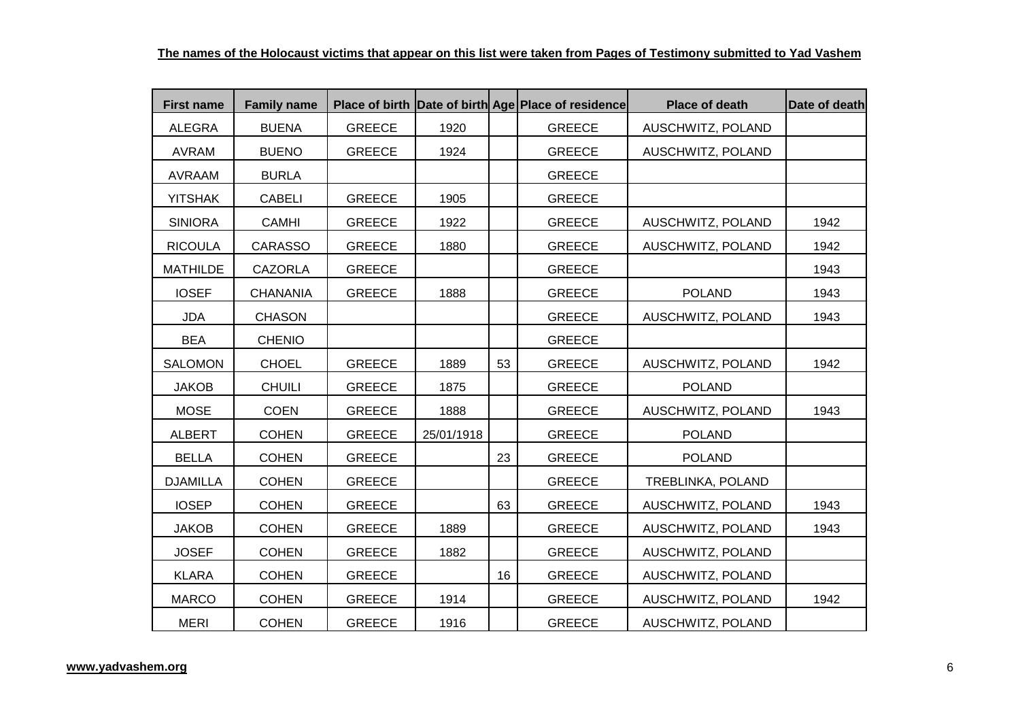| <b>First name</b> | <b>Family name</b> |               |            |    | Place of birth Date of birth Age Place of residence | <b>Place of death</b> | Date of death |
|-------------------|--------------------|---------------|------------|----|-----------------------------------------------------|-----------------------|---------------|
| <b>ALEGRA</b>     | <b>BUENA</b>       | <b>GREECE</b> | 1920       |    | <b>GREECE</b>                                       | AUSCHWITZ, POLAND     |               |
| <b>AVRAM</b>      | <b>BUENO</b>       | <b>GREECE</b> | 1924       |    | <b>GREECE</b>                                       | AUSCHWITZ, POLAND     |               |
| AVRAAM            | <b>BURLA</b>       |               |            |    | <b>GREECE</b>                                       |                       |               |
| <b>YITSHAK</b>    | <b>CABELI</b>      | <b>GREECE</b> | 1905       |    | <b>GREECE</b>                                       |                       |               |
| <b>SINIORA</b>    | <b>CAMHI</b>       | <b>GREECE</b> | 1922       |    | <b>GREECE</b>                                       | AUSCHWITZ, POLAND     | 1942          |
| <b>RICOULA</b>    | <b>CARASSO</b>     | <b>GREECE</b> | 1880       |    | <b>GREECE</b>                                       | AUSCHWITZ, POLAND     | 1942          |
| <b>MATHILDE</b>   | <b>CAZORLA</b>     | <b>GREECE</b> |            |    | <b>GREECE</b>                                       |                       | 1943          |
| <b>IOSEF</b>      | <b>CHANANIA</b>    | <b>GREECE</b> | 1888       |    | <b>GREECE</b>                                       | <b>POLAND</b>         | 1943          |
| <b>JDA</b>        | <b>CHASON</b>      |               |            |    | <b>GREECE</b>                                       | AUSCHWITZ, POLAND     | 1943          |
| <b>BEA</b>        | <b>CHENIO</b>      |               |            |    | <b>GREECE</b>                                       |                       |               |
| <b>SALOMON</b>    | <b>CHOEL</b>       | <b>GREECE</b> | 1889       | 53 | <b>GREECE</b>                                       | AUSCHWITZ, POLAND     | 1942          |
| <b>JAKOB</b>      | <b>CHUILI</b>      | <b>GREECE</b> | 1875       |    | <b>GREECE</b>                                       | <b>POLAND</b>         |               |
| <b>MOSE</b>       | <b>COEN</b>        | <b>GREECE</b> | 1888       |    | <b>GREECE</b>                                       | AUSCHWITZ, POLAND     | 1943          |
| <b>ALBERT</b>     | <b>COHEN</b>       | <b>GREECE</b> | 25/01/1918 |    | <b>GREECE</b>                                       | <b>POLAND</b>         |               |
| <b>BELLA</b>      | <b>COHEN</b>       | <b>GREECE</b> |            | 23 | <b>GREECE</b>                                       | <b>POLAND</b>         |               |
| <b>DJAMILLA</b>   | <b>COHEN</b>       | <b>GREECE</b> |            |    | <b>GREECE</b>                                       | TREBLINKA, POLAND     |               |
| <b>IOSEP</b>      | <b>COHEN</b>       | <b>GREECE</b> |            | 63 | <b>GREECE</b>                                       | AUSCHWITZ, POLAND     | 1943          |
| <b>JAKOB</b>      | <b>COHEN</b>       | <b>GREECE</b> | 1889       |    | <b>GREECE</b>                                       | AUSCHWITZ, POLAND     | 1943          |
| <b>JOSEF</b>      | <b>COHEN</b>       | <b>GREECE</b> | 1882       |    | <b>GREECE</b>                                       | AUSCHWITZ, POLAND     |               |
| <b>KLARA</b>      | <b>COHEN</b>       | <b>GREECE</b> |            | 16 | <b>GREECE</b>                                       | AUSCHWITZ, POLAND     |               |
| <b>MARCO</b>      | <b>COHEN</b>       | <b>GREECE</b> | 1914       |    | <b>GREECE</b>                                       | AUSCHWITZ, POLAND     | 1942          |
| <b>MERI</b>       | <b>COHEN</b>       | <b>GREECE</b> | 1916       |    | <b>GREECE</b>                                       | AUSCHWITZ, POLAND     |               |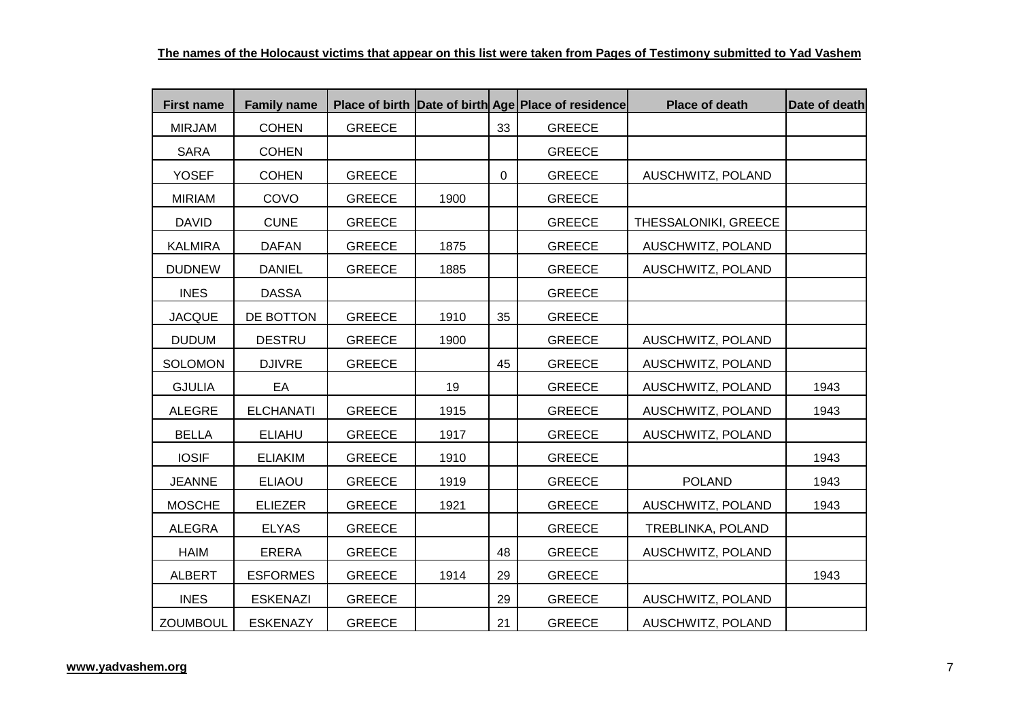| <b>First name</b> | <b>Family name</b> |               |      |             | Place of birth Date of birth Age Place of residence | Place of death       | Date of death |
|-------------------|--------------------|---------------|------|-------------|-----------------------------------------------------|----------------------|---------------|
| <b>MIRJAM</b>     | <b>COHEN</b>       | <b>GREECE</b> |      | 33          | <b>GREECE</b>                                       |                      |               |
| <b>SARA</b>       | <b>COHEN</b>       |               |      |             | <b>GREECE</b>                                       |                      |               |
| <b>YOSEF</b>      | <b>COHEN</b>       | <b>GREECE</b> |      | $\mathbf 0$ | <b>GREECE</b>                                       | AUSCHWITZ, POLAND    |               |
| <b>MIRIAM</b>     | COVO               | <b>GREECE</b> | 1900 |             | <b>GREECE</b>                                       |                      |               |
| <b>DAVID</b>      | <b>CUNE</b>        | <b>GREECE</b> |      |             | <b>GREECE</b>                                       | THESSALONIKI, GREECE |               |
| <b>KALMIRA</b>    | <b>DAFAN</b>       | <b>GREECE</b> | 1875 |             | <b>GREECE</b>                                       | AUSCHWITZ, POLAND    |               |
| <b>DUDNEW</b>     | <b>DANIEL</b>      | <b>GREECE</b> | 1885 |             | <b>GREECE</b>                                       | AUSCHWITZ, POLAND    |               |
| <b>INES</b>       | <b>DASSA</b>       |               |      |             | <b>GREECE</b>                                       |                      |               |
| <b>JACQUE</b>     | DE BOTTON          | <b>GREECE</b> | 1910 | 35          | <b>GREECE</b>                                       |                      |               |
| <b>DUDUM</b>      | <b>DESTRU</b>      | <b>GREECE</b> | 1900 |             | <b>GREECE</b>                                       | AUSCHWITZ, POLAND    |               |
| <b>SOLOMON</b>    | <b>DJIVRE</b>      | <b>GREECE</b> |      | 45          | <b>GREECE</b>                                       | AUSCHWITZ, POLAND    |               |
| <b>GJULIA</b>     | EA                 |               | 19   |             | <b>GREECE</b>                                       | AUSCHWITZ, POLAND    | 1943          |
| <b>ALEGRE</b>     | <b>ELCHANATI</b>   | <b>GREECE</b> | 1915 |             | <b>GREECE</b>                                       | AUSCHWITZ, POLAND    | 1943          |
| <b>BELLA</b>      | <b>ELIAHU</b>      | <b>GREECE</b> | 1917 |             | <b>GREECE</b>                                       | AUSCHWITZ, POLAND    |               |
| <b>IOSIF</b>      | <b>ELIAKIM</b>     | <b>GREECE</b> | 1910 |             | <b>GREECE</b>                                       |                      | 1943          |
| <b>JEANNE</b>     | <b>ELIAOU</b>      | <b>GREECE</b> | 1919 |             | <b>GREECE</b>                                       | <b>POLAND</b>        | 1943          |
| <b>MOSCHE</b>     | <b>ELIEZER</b>     | <b>GREECE</b> | 1921 |             | <b>GREECE</b>                                       | AUSCHWITZ, POLAND    | 1943          |
| <b>ALEGRA</b>     | <b>ELYAS</b>       | <b>GREECE</b> |      |             | <b>GREECE</b>                                       | TREBLINKA, POLAND    |               |
| <b>HAIM</b>       | <b>ERERA</b>       | <b>GREECE</b> |      | 48          | <b>GREECE</b>                                       | AUSCHWITZ, POLAND    |               |
| <b>ALBERT</b>     | <b>ESFORMES</b>    | <b>GREECE</b> | 1914 | 29          | <b>GREECE</b>                                       |                      | 1943          |
| <b>INES</b>       | <b>ESKENAZI</b>    | <b>GREECE</b> |      | 29          | <b>GREECE</b>                                       | AUSCHWITZ, POLAND    |               |
| <b>ZOUMBOUL</b>   | <b>ESKENAZY</b>    | <b>GREECE</b> |      | 21          | <b>GREECE</b>                                       | AUSCHWITZ, POLAND    |               |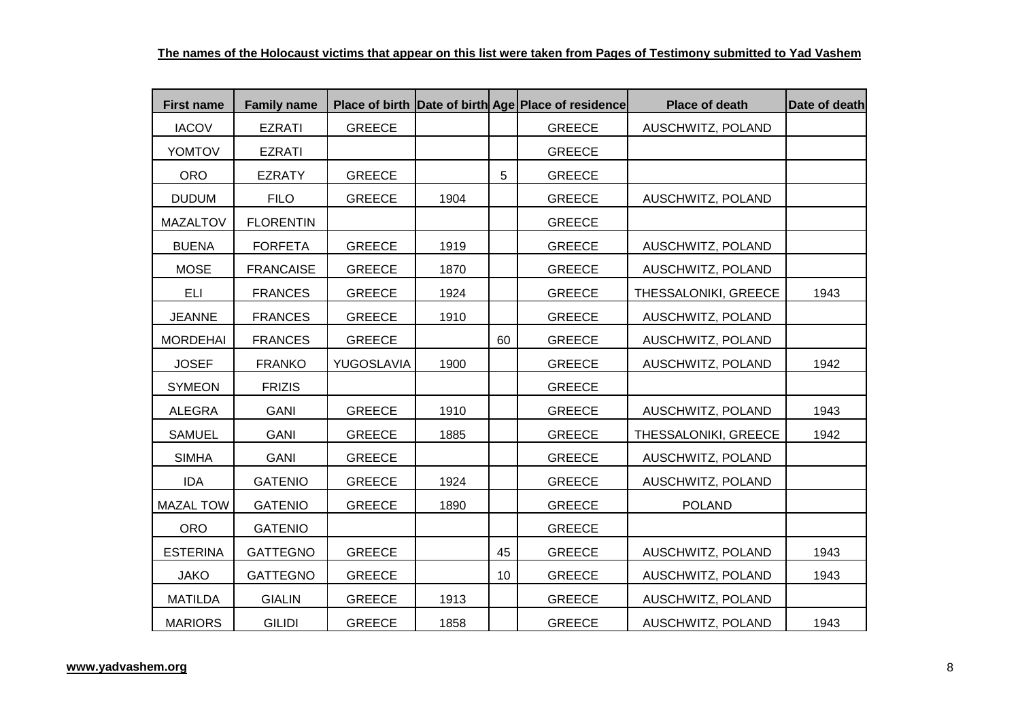| <b>First name</b> | <b>Family name</b> |               |      |    | Place of birth Date of birth Age Place of residence | <b>Place of death</b> | Date of death |
|-------------------|--------------------|---------------|------|----|-----------------------------------------------------|-----------------------|---------------|
| <b>IACOV</b>      | <b>EZRATI</b>      | <b>GREECE</b> |      |    | <b>GREECE</b>                                       | AUSCHWITZ, POLAND     |               |
| <b>YOMTOV</b>     | <b>EZRATI</b>      |               |      |    | <b>GREECE</b>                                       |                       |               |
| <b>ORO</b>        | <b>EZRATY</b>      | <b>GREECE</b> |      | 5  | <b>GREECE</b>                                       |                       |               |
| <b>DUDUM</b>      | <b>FILO</b>        | <b>GREECE</b> | 1904 |    | <b>GREECE</b>                                       | AUSCHWITZ, POLAND     |               |
| <b>MAZALTOV</b>   | <b>FLORENTIN</b>   |               |      |    | <b>GREECE</b>                                       |                       |               |
| <b>BUENA</b>      | <b>FORFETA</b>     | <b>GREECE</b> | 1919 |    | <b>GREECE</b>                                       | AUSCHWITZ, POLAND     |               |
| <b>MOSE</b>       | <b>FRANCAISE</b>   | <b>GREECE</b> | 1870 |    | <b>GREECE</b>                                       | AUSCHWITZ, POLAND     |               |
| <b>ELI</b>        | <b>FRANCES</b>     | <b>GREECE</b> | 1924 |    | <b>GREECE</b>                                       | THESSALONIKI, GREECE  | 1943          |
| <b>JEANNE</b>     | <b>FRANCES</b>     | <b>GREECE</b> | 1910 |    | <b>GREECE</b>                                       | AUSCHWITZ, POLAND     |               |
| <b>MORDEHAI</b>   | <b>FRANCES</b>     | <b>GREECE</b> |      | 60 | <b>GREECE</b>                                       | AUSCHWITZ, POLAND     |               |
| <b>JOSEF</b>      | <b>FRANKO</b>      | YUGOSLAVIA    | 1900 |    | <b>GREECE</b>                                       | AUSCHWITZ, POLAND     | 1942          |
| <b>SYMEON</b>     | <b>FRIZIS</b>      |               |      |    | <b>GREECE</b>                                       |                       |               |
| ALEGRA            | <b>GANI</b>        | <b>GREECE</b> | 1910 |    | <b>GREECE</b>                                       | AUSCHWITZ, POLAND     | 1943          |
| <b>SAMUEL</b>     | <b>GANI</b>        | <b>GREECE</b> | 1885 |    | <b>GREECE</b>                                       | THESSALONIKI, GREECE  | 1942          |
| <b>SIMHA</b>      | <b>GANI</b>        | <b>GREECE</b> |      |    | <b>GREECE</b>                                       | AUSCHWITZ, POLAND     |               |
| <b>IDA</b>        | <b>GATENIO</b>     | <b>GREECE</b> | 1924 |    | <b>GREECE</b>                                       | AUSCHWITZ, POLAND     |               |
| <b>MAZAL TOW</b>  | <b>GATENIO</b>     | <b>GREECE</b> | 1890 |    | <b>GREECE</b>                                       | <b>POLAND</b>         |               |
| <b>ORO</b>        | <b>GATENIO</b>     |               |      |    | <b>GREECE</b>                                       |                       |               |
| <b>ESTERINA</b>   | <b>GATTEGNO</b>    | <b>GREECE</b> |      | 45 | <b>GREECE</b>                                       | AUSCHWITZ, POLAND     | 1943          |
| <b>JAKO</b>       | <b>GATTEGNO</b>    | <b>GREECE</b> |      | 10 | <b>GREECE</b>                                       | AUSCHWITZ, POLAND     | 1943          |
| <b>MATILDA</b>    | <b>GIALIN</b>      | <b>GREECE</b> | 1913 |    | <b>GREECE</b>                                       | AUSCHWITZ, POLAND     |               |
| <b>MARIORS</b>    | <b>GILIDI</b>      | <b>GREECE</b> | 1858 |    | <b>GREECE</b>                                       | AUSCHWITZ, POLAND     | 1943          |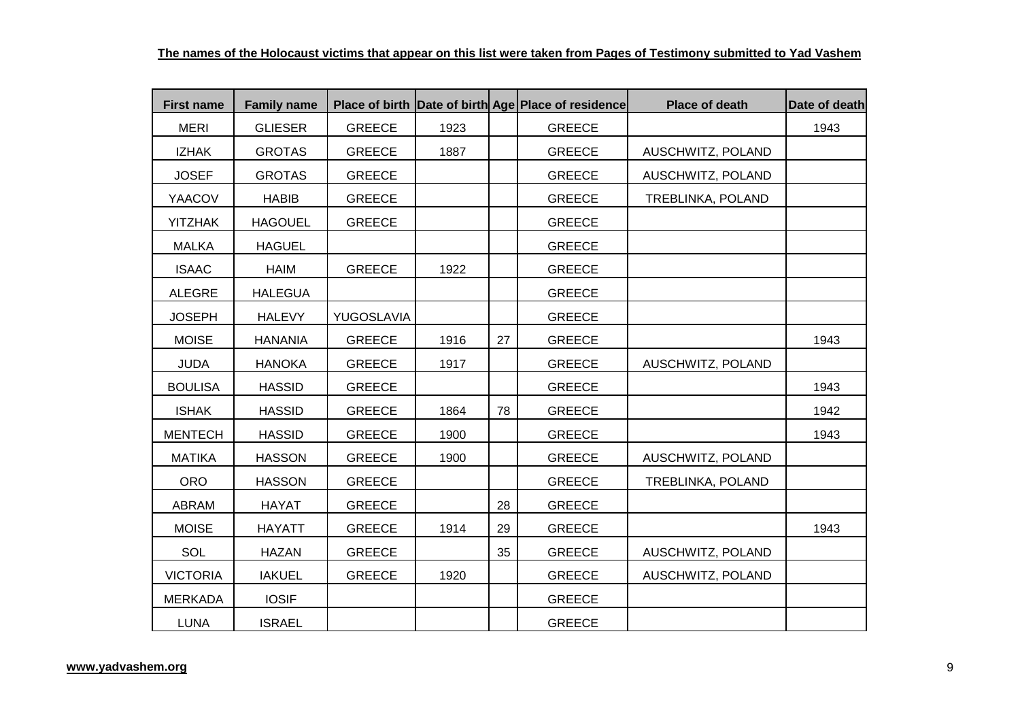| <b>First name</b> | <b>Family name</b> |               |      |    | Place of birth Date of birth Age Place of residence | <b>Place of death</b> | Date of death |
|-------------------|--------------------|---------------|------|----|-----------------------------------------------------|-----------------------|---------------|
| <b>MERI</b>       | <b>GLIESER</b>     | <b>GREECE</b> | 1923 |    | <b>GREECE</b>                                       |                       | 1943          |
| <b>IZHAK</b>      | <b>GROTAS</b>      | <b>GREECE</b> | 1887 |    | <b>GREECE</b>                                       | AUSCHWITZ, POLAND     |               |
| <b>JOSEF</b>      | <b>GROTAS</b>      | <b>GREECE</b> |      |    | <b>GREECE</b>                                       | AUSCHWITZ, POLAND     |               |
| YAACOV            | <b>HABIB</b>       | <b>GREECE</b> |      |    | <b>GREECE</b>                                       | TREBLINKA, POLAND     |               |
| <b>YITZHAK</b>    | <b>HAGOUEL</b>     | <b>GREECE</b> |      |    | <b>GREECE</b>                                       |                       |               |
| <b>MALKA</b>      | <b>HAGUEL</b>      |               |      |    | <b>GREECE</b>                                       |                       |               |
| <b>ISAAC</b>      | HAIM               | <b>GREECE</b> | 1922 |    | <b>GREECE</b>                                       |                       |               |
| <b>ALEGRE</b>     | <b>HALEGUA</b>     |               |      |    | <b>GREECE</b>                                       |                       |               |
| <b>JOSEPH</b>     | <b>HALEVY</b>      | YUGOSLAVIA    |      |    | <b>GREECE</b>                                       |                       |               |
| <b>MOISE</b>      | <b>HANANIA</b>     | <b>GREECE</b> | 1916 | 27 | <b>GREECE</b>                                       |                       | 1943          |
| <b>JUDA</b>       | <b>HANOKA</b>      | <b>GREECE</b> | 1917 |    | <b>GREECE</b>                                       | AUSCHWITZ, POLAND     |               |
| <b>BOULISA</b>    | <b>HASSID</b>      | <b>GREECE</b> |      |    | <b>GREECE</b>                                       |                       | 1943          |
| <b>ISHAK</b>      | <b>HASSID</b>      | <b>GREECE</b> | 1864 | 78 | <b>GREECE</b>                                       |                       | 1942          |
| <b>MENTECH</b>    | <b>HASSID</b>      | <b>GREECE</b> | 1900 |    | <b>GREECE</b>                                       |                       | 1943          |
| <b>MATIKA</b>     | <b>HASSON</b>      | <b>GREECE</b> | 1900 |    | <b>GREECE</b>                                       | AUSCHWITZ, POLAND     |               |
| <b>ORO</b>        | <b>HASSON</b>      | <b>GREECE</b> |      |    | <b>GREECE</b>                                       | TREBLINKA, POLAND     |               |
| ABRAM             | <b>HAYAT</b>       | <b>GREECE</b> |      | 28 | <b>GREECE</b>                                       |                       |               |
| <b>MOISE</b>      | <b>HAYATT</b>      | <b>GREECE</b> | 1914 | 29 | <b>GREECE</b>                                       |                       | 1943          |
| SOL               | <b>HAZAN</b>       | <b>GREECE</b> |      | 35 | <b>GREECE</b>                                       | AUSCHWITZ, POLAND     |               |
| <b>VICTORIA</b>   | <b>IAKUEL</b>      | <b>GREECE</b> | 1920 |    | <b>GREECE</b>                                       | AUSCHWITZ, POLAND     |               |
| <b>MERKADA</b>    | <b>IOSIF</b>       |               |      |    | <b>GREECE</b>                                       |                       |               |
| <b>LUNA</b>       | <b>ISRAEL</b>      |               |      |    | <b>GREECE</b>                                       |                       |               |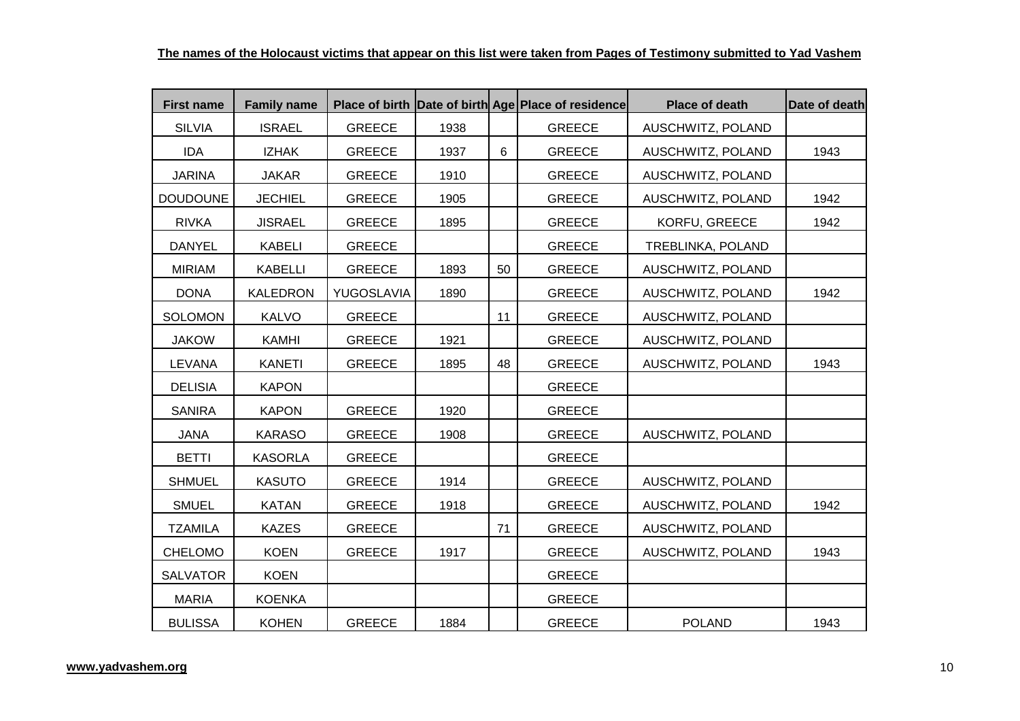| <b>First name</b> | <b>Family name</b> |               |      |    | Place of birth Date of birth Age Place of residence | Place of death    | Date of death |
|-------------------|--------------------|---------------|------|----|-----------------------------------------------------|-------------------|---------------|
| <b>SILVIA</b>     | <b>ISRAEL</b>      | <b>GREECE</b> | 1938 |    | <b>GREECE</b>                                       | AUSCHWITZ, POLAND |               |
| <b>IDA</b>        | <b>IZHAK</b>       | <b>GREECE</b> | 1937 | 6  | <b>GREECE</b>                                       | AUSCHWITZ, POLAND | 1943          |
| <b>JARINA</b>     | <b>JAKAR</b>       | <b>GREECE</b> | 1910 |    | <b>GREECE</b>                                       | AUSCHWITZ, POLAND |               |
| <b>DOUDOUNE</b>   | <b>JECHIEL</b>     | <b>GREECE</b> | 1905 |    | <b>GREECE</b>                                       | AUSCHWITZ, POLAND | 1942          |
| <b>RIVKA</b>      | <b>JISRAEL</b>     | <b>GREECE</b> | 1895 |    | <b>GREECE</b>                                       | KORFU, GREECE     | 1942          |
| <b>DANYEL</b>     | <b>KABELI</b>      | <b>GREECE</b> |      |    | <b>GREECE</b>                                       | TREBLINKA, POLAND |               |
| <b>MIRIAM</b>     | <b>KABELLI</b>     | <b>GREECE</b> | 1893 | 50 | <b>GREECE</b>                                       | AUSCHWITZ, POLAND |               |
| <b>DONA</b>       | <b>KALEDRON</b>    | YUGOSLAVIA    | 1890 |    | <b>GREECE</b>                                       | AUSCHWITZ, POLAND | 1942          |
| <b>SOLOMON</b>    | <b>KALVO</b>       | <b>GREECE</b> |      | 11 | <b>GREECE</b>                                       | AUSCHWITZ, POLAND |               |
| <b>JAKOW</b>      | <b>KAMHI</b>       | <b>GREECE</b> | 1921 |    | <b>GREECE</b>                                       | AUSCHWITZ, POLAND |               |
| <b>LEVANA</b>     | <b>KANETI</b>      | <b>GREECE</b> | 1895 | 48 | <b>GREECE</b>                                       | AUSCHWITZ, POLAND | 1943          |
| <b>DELISIA</b>    | <b>KAPON</b>       |               |      |    | <b>GREECE</b>                                       |                   |               |
| <b>SANIRA</b>     | <b>KAPON</b>       | <b>GREECE</b> | 1920 |    | <b>GREECE</b>                                       |                   |               |
| <b>JANA</b>       | <b>KARASO</b>      | <b>GREECE</b> | 1908 |    | <b>GREECE</b>                                       | AUSCHWITZ, POLAND |               |
| <b>BETTI</b>      | <b>KASORLA</b>     | <b>GREECE</b> |      |    | <b>GREECE</b>                                       |                   |               |
| <b>SHMUEL</b>     | <b>KASUTO</b>      | <b>GREECE</b> | 1914 |    | <b>GREECE</b>                                       | AUSCHWITZ, POLAND |               |
| <b>SMUEL</b>      | <b>KATAN</b>       | <b>GREECE</b> | 1918 |    | <b>GREECE</b>                                       | AUSCHWITZ, POLAND | 1942          |
| <b>TZAMILA</b>    | <b>KAZES</b>       | <b>GREECE</b> |      | 71 | <b>GREECE</b>                                       | AUSCHWITZ, POLAND |               |
| CHELOMO           | <b>KOEN</b>        | <b>GREECE</b> | 1917 |    | <b>GREECE</b>                                       | AUSCHWITZ, POLAND | 1943          |
| <b>SALVATOR</b>   | <b>KOEN</b>        |               |      |    | <b>GREECE</b>                                       |                   |               |
| <b>MARIA</b>      | <b>KOENKA</b>      |               |      |    | <b>GREECE</b>                                       |                   |               |
| <b>BULISSA</b>    | <b>KOHEN</b>       | <b>GREECE</b> | 1884 |    | <b>GREECE</b>                                       | <b>POLAND</b>     | 1943          |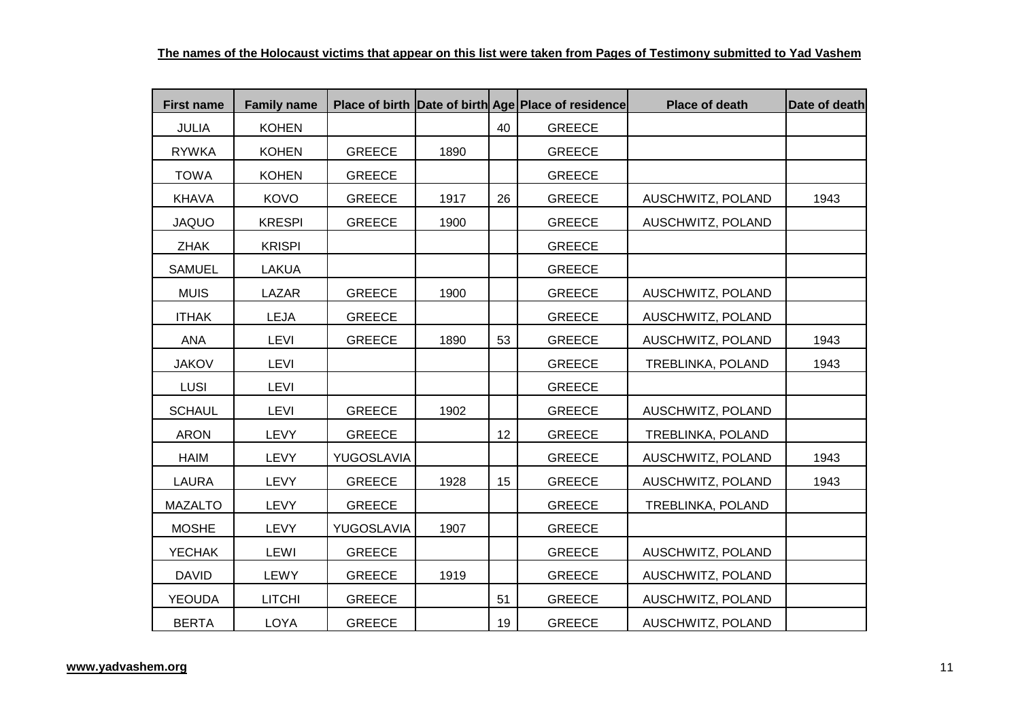| <b>First name</b> | <b>Family name</b> |               |      |    | Place of birth Date of birth Age Place of residence | <b>Place of death</b> | Date of death |
|-------------------|--------------------|---------------|------|----|-----------------------------------------------------|-----------------------|---------------|
| <b>JULIA</b>      | <b>KOHEN</b>       |               |      | 40 | <b>GREECE</b>                                       |                       |               |
| <b>RYWKA</b>      | <b>KOHEN</b>       | <b>GREECE</b> | 1890 |    | <b>GREECE</b>                                       |                       |               |
| <b>TOWA</b>       | <b>KOHEN</b>       | <b>GREECE</b> |      |    | <b>GREECE</b>                                       |                       |               |
| <b>KHAVA</b>      | KOVO               | <b>GREECE</b> | 1917 | 26 | <b>GREECE</b>                                       | AUSCHWITZ, POLAND     | 1943          |
| <b>JAQUO</b>      | <b>KRESPI</b>      | <b>GREECE</b> | 1900 |    | <b>GREECE</b>                                       | AUSCHWITZ, POLAND     |               |
| <b>ZHAK</b>       | <b>KRISPI</b>      |               |      |    | <b>GREECE</b>                                       |                       |               |
| <b>SAMUEL</b>     | <b>LAKUA</b>       |               |      |    | <b>GREECE</b>                                       |                       |               |
| <b>MUIS</b>       | LAZAR              | <b>GREECE</b> | 1900 |    | <b>GREECE</b>                                       | AUSCHWITZ, POLAND     |               |
| <b>ITHAK</b>      | LEJA               | <b>GREECE</b> |      |    | <b>GREECE</b>                                       | AUSCHWITZ, POLAND     |               |
| <b>ANA</b>        | <b>LEVI</b>        | <b>GREECE</b> | 1890 | 53 | <b>GREECE</b>                                       | AUSCHWITZ, POLAND     | 1943          |
| <b>JAKOV</b>      | <b>LEVI</b>        |               |      |    | <b>GREECE</b>                                       | TREBLINKA, POLAND     | 1943          |
| LUSI              | <b>LEVI</b>        |               |      |    | <b>GREECE</b>                                       |                       |               |
| <b>SCHAUL</b>     | LEVI               | <b>GREECE</b> | 1902 |    | <b>GREECE</b>                                       | AUSCHWITZ, POLAND     |               |
| <b>ARON</b>       | LEVY               | <b>GREECE</b> |      | 12 | <b>GREECE</b>                                       | TREBLINKA, POLAND     |               |
| <b>HAIM</b>       | <b>LEVY</b>        | YUGOSLAVIA    |      |    | <b>GREECE</b>                                       | AUSCHWITZ, POLAND     | 1943          |
| <b>LAURA</b>      | <b>LEVY</b>        | <b>GREECE</b> | 1928 | 15 | <b>GREECE</b>                                       | AUSCHWITZ, POLAND     | 1943          |
| <b>MAZALTO</b>    | <b>LEVY</b>        | <b>GREECE</b> |      |    | <b>GREECE</b>                                       | TREBLINKA, POLAND     |               |
| <b>MOSHE</b>      | <b>LEVY</b>        | YUGOSLAVIA    | 1907 |    | <b>GREECE</b>                                       |                       |               |
| <b>YECHAK</b>     | LEWI               | <b>GREECE</b> |      |    | <b>GREECE</b>                                       | AUSCHWITZ, POLAND     |               |
| <b>DAVID</b>      | LEWY               | <b>GREECE</b> | 1919 |    | <b>GREECE</b>                                       | AUSCHWITZ, POLAND     |               |
| <b>YEOUDA</b>     | <b>LITCHI</b>      | <b>GREECE</b> |      | 51 | <b>GREECE</b>                                       | AUSCHWITZ, POLAND     |               |
| <b>BERTA</b>      | <b>LOYA</b>        | <b>GREECE</b> |      | 19 | <b>GREECE</b>                                       | AUSCHWITZ, POLAND     |               |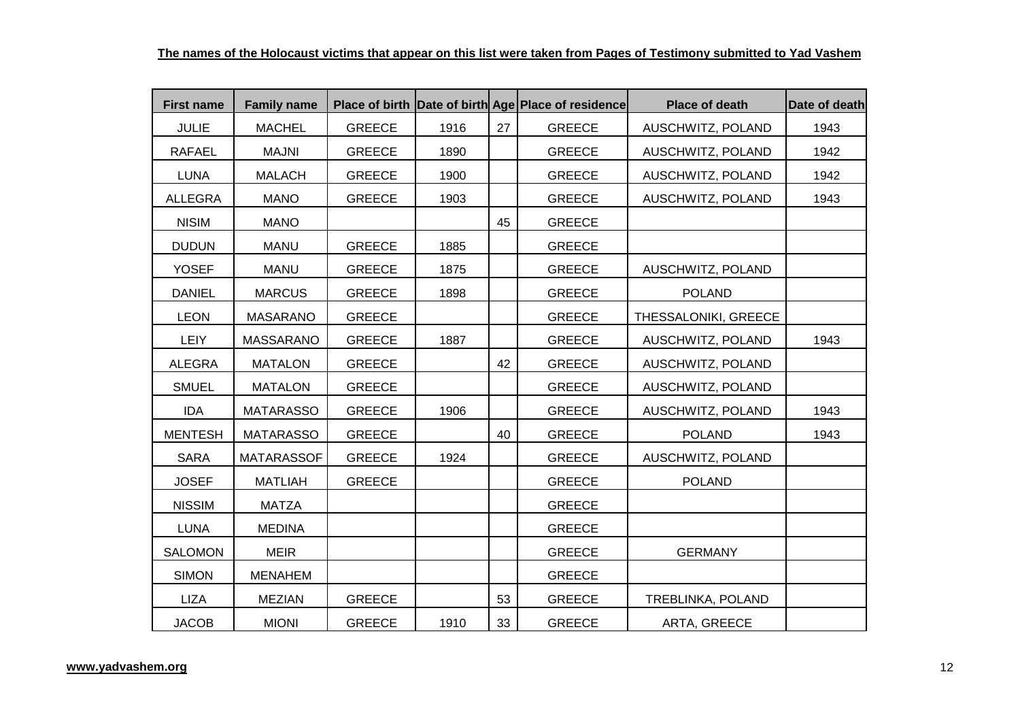| <b>First name</b> | <b>Family name</b> |               |      |    | Place of birth Date of birth Age Place of residence | <b>Place of death</b> | Date of death |
|-------------------|--------------------|---------------|------|----|-----------------------------------------------------|-----------------------|---------------|
| <b>JULIE</b>      | <b>MACHEL</b>      | <b>GREECE</b> | 1916 | 27 | <b>GREECE</b>                                       | AUSCHWITZ, POLAND     | 1943          |
| <b>RAFAEL</b>     | <b>MAJNI</b>       | <b>GREECE</b> | 1890 |    | <b>GREECE</b>                                       | AUSCHWITZ, POLAND     | 1942          |
| <b>LUNA</b>       | <b>MALACH</b>      | <b>GREECE</b> | 1900 |    | <b>GREECE</b>                                       | AUSCHWITZ, POLAND     | 1942          |
| <b>ALLEGRA</b>    | <b>MANO</b>        | <b>GREECE</b> | 1903 |    | <b>GREECE</b>                                       | AUSCHWITZ, POLAND     | 1943          |
| <b>NISIM</b>      | <b>MANO</b>        |               |      | 45 | <b>GREECE</b>                                       |                       |               |
| <b>DUDUN</b>      | <b>MANU</b>        | <b>GREECE</b> | 1885 |    | <b>GREECE</b>                                       |                       |               |
| <b>YOSEF</b>      | <b>MANU</b>        | <b>GREECE</b> | 1875 |    | <b>GREECE</b>                                       | AUSCHWITZ, POLAND     |               |
| <b>DANIEL</b>     | <b>MARCUS</b>      | <b>GREECE</b> | 1898 |    | <b>GREECE</b>                                       | <b>POLAND</b>         |               |
| <b>LEON</b>       | <b>MASARANO</b>    | <b>GREECE</b> |      |    | <b>GREECE</b>                                       | THESSALONIKI, GREECE  |               |
| <b>LEIY</b>       | <b>MASSARANO</b>   | <b>GREECE</b> | 1887 |    | <b>GREECE</b>                                       | AUSCHWITZ, POLAND     | 1943          |
| ALEGRA            | <b>MATALON</b>     | <b>GREECE</b> |      | 42 | <b>GREECE</b>                                       | AUSCHWITZ, POLAND     |               |
| <b>SMUEL</b>      | <b>MATALON</b>     | <b>GREECE</b> |      |    | <b>GREECE</b>                                       | AUSCHWITZ, POLAND     |               |
| <b>IDA</b>        | <b>MATARASSO</b>   | <b>GREECE</b> | 1906 |    | <b>GREECE</b>                                       | AUSCHWITZ, POLAND     | 1943          |
| <b>MENTESH</b>    | <b>MATARASSO</b>   | <b>GREECE</b> |      | 40 | <b>GREECE</b>                                       | <b>POLAND</b>         | 1943          |
| <b>SARA</b>       | <b>MATARASSOF</b>  | <b>GREECE</b> | 1924 |    | <b>GREECE</b>                                       | AUSCHWITZ, POLAND     |               |
| <b>JOSEF</b>      | <b>MATLIAH</b>     | <b>GREECE</b> |      |    | <b>GREECE</b>                                       | <b>POLAND</b>         |               |
| <b>NISSIM</b>     | <b>MATZA</b>       |               |      |    | <b>GREECE</b>                                       |                       |               |
| <b>LUNA</b>       | <b>MEDINA</b>      |               |      |    | <b>GREECE</b>                                       |                       |               |
| <b>SALOMON</b>    | <b>MEIR</b>        |               |      |    | <b>GREECE</b>                                       | <b>GERMANY</b>        |               |
| <b>SIMON</b>      | <b>MENAHEM</b>     |               |      |    | <b>GREECE</b>                                       |                       |               |
| LIZA              | <b>MEZIAN</b>      | <b>GREECE</b> |      | 53 | <b>GREECE</b>                                       | TREBLINKA, POLAND     |               |
| <b>JACOB</b>      | <b>MIONI</b>       | <b>GREECE</b> | 1910 | 33 | <b>GREECE</b>                                       | ARTA, GREECE          |               |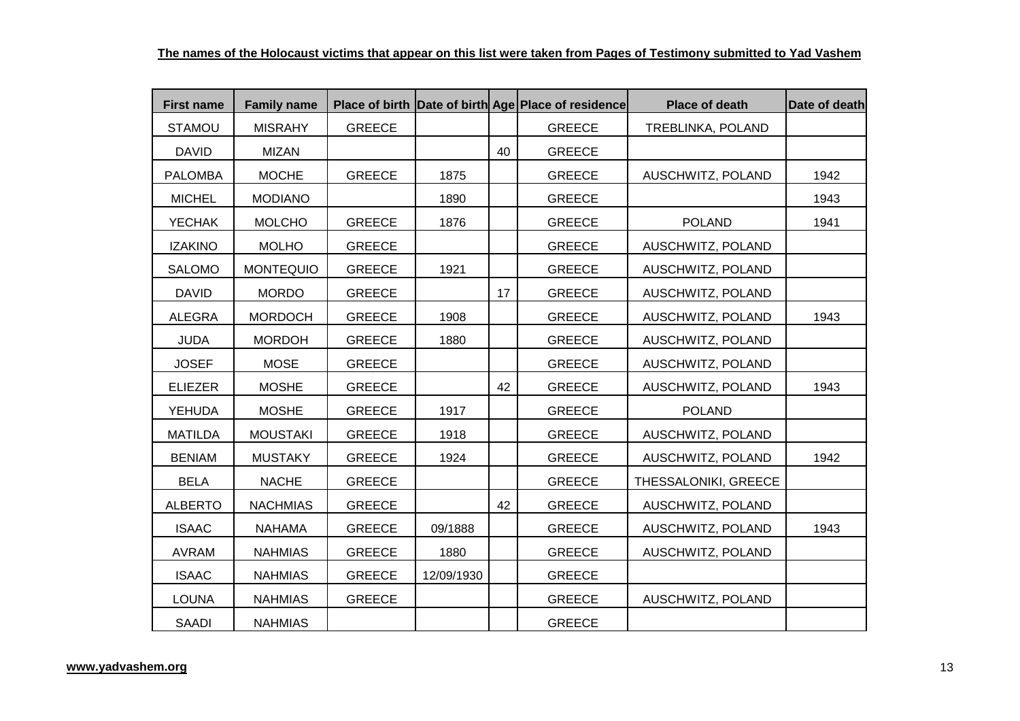| <b>First name</b> | <b>Family name</b> |               |            |    | Place of birth Date of birth Age Place of residence | Place of death       | Date of death |
|-------------------|--------------------|---------------|------------|----|-----------------------------------------------------|----------------------|---------------|
| <b>STAMOU</b>     | <b>MISRAHY</b>     | <b>GREECE</b> |            |    | <b>GREECE</b>                                       | TREBLINKA, POLAND    |               |
| <b>DAVID</b>      | <b>MIZAN</b>       |               |            | 40 | <b>GREECE</b>                                       |                      |               |
| <b>PALOMBA</b>    | <b>MOCHE</b>       | <b>GREECE</b> | 1875       |    | <b>GREECE</b>                                       | AUSCHWITZ, POLAND    | 1942          |
| <b>MICHEL</b>     | <b>MODIANO</b>     |               | 1890       |    | <b>GREECE</b>                                       |                      | 1943          |
| <b>YECHAK</b>     | <b>MOLCHO</b>      | <b>GREECE</b> | 1876       |    | <b>GREECE</b>                                       | <b>POLAND</b>        | 1941          |
| <b>IZAKINO</b>    | <b>MOLHO</b>       | <b>GREECE</b> |            |    | <b>GREECE</b>                                       | AUSCHWITZ, POLAND    |               |
| <b>SALOMO</b>     | <b>MONTEQUIO</b>   | <b>GREECE</b> | 1921       |    | <b>GREECE</b>                                       | AUSCHWITZ, POLAND    |               |
| <b>DAVID</b>      | <b>MORDO</b>       | <b>GREECE</b> |            | 17 | <b>GREECE</b>                                       | AUSCHWITZ, POLAND    |               |
| <b>ALEGRA</b>     | <b>MORDOCH</b>     | <b>GREECE</b> | 1908       |    | <b>GREECE</b>                                       | AUSCHWITZ, POLAND    | 1943          |
| <b>JUDA</b>       | <b>MORDOH</b>      | <b>GREECE</b> | 1880       |    | <b>GREECE</b>                                       | AUSCHWITZ, POLAND    |               |
| <b>JOSEF</b>      | <b>MOSE</b>        | <b>GREECE</b> |            |    | <b>GREECE</b>                                       | AUSCHWITZ, POLAND    |               |
| <b>ELIEZER</b>    | <b>MOSHE</b>       | <b>GREECE</b> |            | 42 | <b>GREECE</b>                                       | AUSCHWITZ, POLAND    | 1943          |
| <b>YEHUDA</b>     | <b>MOSHE</b>       | <b>GREECE</b> | 1917       |    | <b>GREECE</b>                                       | <b>POLAND</b>        |               |
| <b>MATILDA</b>    | <b>MOUSTAKI</b>    | <b>GREECE</b> | 1918       |    | <b>GREECE</b>                                       | AUSCHWITZ, POLAND    |               |
| <b>BENIAM</b>     | <b>MUSTAKY</b>     | <b>GREECE</b> | 1924       |    | <b>GREECE</b>                                       | AUSCHWITZ, POLAND    | 1942          |
| <b>BELA</b>       | <b>NACHE</b>       | <b>GREECE</b> |            |    | <b>GREECE</b>                                       | THESSALONIKI, GREECE |               |
| <b>ALBERTO</b>    | <b>NACHMIAS</b>    | <b>GREECE</b> |            | 42 | <b>GREECE</b>                                       | AUSCHWITZ, POLAND    |               |
| <b>ISAAC</b>      | <b>NAHAMA</b>      | <b>GREECE</b> | 09/1888    |    | <b>GREECE</b>                                       | AUSCHWITZ, POLAND    | 1943          |
| <b>AVRAM</b>      | <b>NAHMIAS</b>     | <b>GREECE</b> | 1880       |    | <b>GREECE</b>                                       | AUSCHWITZ, POLAND    |               |
| <b>ISAAC</b>      | <b>NAHMIAS</b>     | <b>GREECE</b> | 12/09/1930 |    | <b>GREECE</b>                                       |                      |               |
| <b>LOUNA</b>      | <b>NAHMIAS</b>     | <b>GREECE</b> |            |    | <b>GREECE</b>                                       | AUSCHWITZ, POLAND    |               |
| <b>SAADI</b>      | <b>NAHMIAS</b>     |               |            |    | <b>GREECE</b>                                       |                      |               |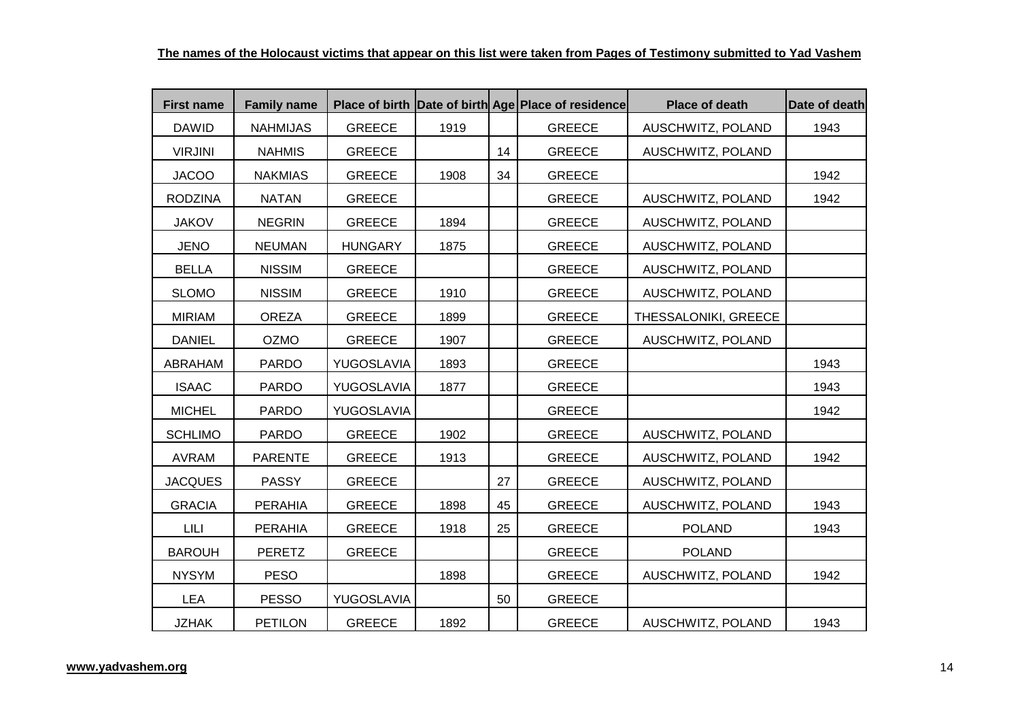| <b>First name</b> | <b>Family name</b> |                |      |    | Place of birth Date of birth Age Place of residence | <b>Place of death</b> | Date of death |
|-------------------|--------------------|----------------|------|----|-----------------------------------------------------|-----------------------|---------------|
| <b>DAWID</b>      | <b>NAHMIJAS</b>    | <b>GREECE</b>  | 1919 |    | <b>GREECE</b>                                       | AUSCHWITZ, POLAND     | 1943          |
| <b>VIRJINI</b>    | <b>NAHMIS</b>      | <b>GREECE</b>  |      | 14 | <b>GREECE</b>                                       | AUSCHWITZ, POLAND     |               |
| <b>JACOO</b>      | <b>NAKMIAS</b>     | <b>GREECE</b>  | 1908 | 34 | <b>GREECE</b>                                       |                       | 1942          |
| <b>RODZINA</b>    | <b>NATAN</b>       | <b>GREECE</b>  |      |    | <b>GREECE</b>                                       | AUSCHWITZ, POLAND     | 1942          |
| <b>JAKOV</b>      | <b>NEGRIN</b>      | <b>GREECE</b>  | 1894 |    | <b>GREECE</b>                                       | AUSCHWITZ, POLAND     |               |
| <b>JENO</b>       | <b>NEUMAN</b>      | <b>HUNGARY</b> | 1875 |    | <b>GREECE</b>                                       | AUSCHWITZ, POLAND     |               |
| <b>BELLA</b>      | <b>NISSIM</b>      | <b>GREECE</b>  |      |    | <b>GREECE</b>                                       | AUSCHWITZ, POLAND     |               |
| <b>SLOMO</b>      | <b>NISSIM</b>      | <b>GREECE</b>  | 1910 |    | <b>GREECE</b>                                       | AUSCHWITZ, POLAND     |               |
| <b>MIRIAM</b>     | <b>OREZA</b>       | <b>GREECE</b>  | 1899 |    | <b>GREECE</b>                                       | THESSALONIKI, GREECE  |               |
| <b>DANIEL</b>     | <b>OZMO</b>        | <b>GREECE</b>  | 1907 |    | <b>GREECE</b>                                       | AUSCHWITZ, POLAND     |               |
| ABRAHAM           | <b>PARDO</b>       | YUGOSLAVIA     | 1893 |    | <b>GREECE</b>                                       |                       | 1943          |
| <b>ISAAC</b>      | <b>PARDO</b>       | YUGOSLAVIA     | 1877 |    | <b>GREECE</b>                                       |                       | 1943          |
| <b>MICHEL</b>     | <b>PARDO</b>       | YUGOSLAVIA     |      |    | <b>GREECE</b>                                       |                       | 1942          |
| <b>SCHLIMO</b>    | <b>PARDO</b>       | <b>GREECE</b>  | 1902 |    | <b>GREECE</b>                                       | AUSCHWITZ, POLAND     |               |
| <b>AVRAM</b>      | <b>PARENTE</b>     | <b>GREECE</b>  | 1913 |    | <b>GREECE</b>                                       | AUSCHWITZ, POLAND     | 1942          |
| <b>JACQUES</b>    | <b>PASSY</b>       | <b>GREECE</b>  |      | 27 | <b>GREECE</b>                                       | AUSCHWITZ, POLAND     |               |
| <b>GRACIA</b>     | <b>PERAHIA</b>     | <b>GREECE</b>  | 1898 | 45 | <b>GREECE</b>                                       | AUSCHWITZ, POLAND     | 1943          |
| LILI              | <b>PERAHIA</b>     | <b>GREECE</b>  | 1918 | 25 | <b>GREECE</b>                                       | <b>POLAND</b>         | 1943          |
| <b>BAROUH</b>     | <b>PERETZ</b>      | <b>GREECE</b>  |      |    | <b>GREECE</b>                                       | <b>POLAND</b>         |               |
| <b>NYSYM</b>      | <b>PESO</b>        |                | 1898 |    | <b>GREECE</b>                                       | AUSCHWITZ, POLAND     | 1942          |
| <b>LEA</b>        | <b>PESSO</b>       | YUGOSLAVIA     |      | 50 | <b>GREECE</b>                                       |                       |               |
| <b>JZHAK</b>      | <b>PETILON</b>     | <b>GREECE</b>  | 1892 |    | <b>GREECE</b>                                       | AUSCHWITZ, POLAND     | 1943          |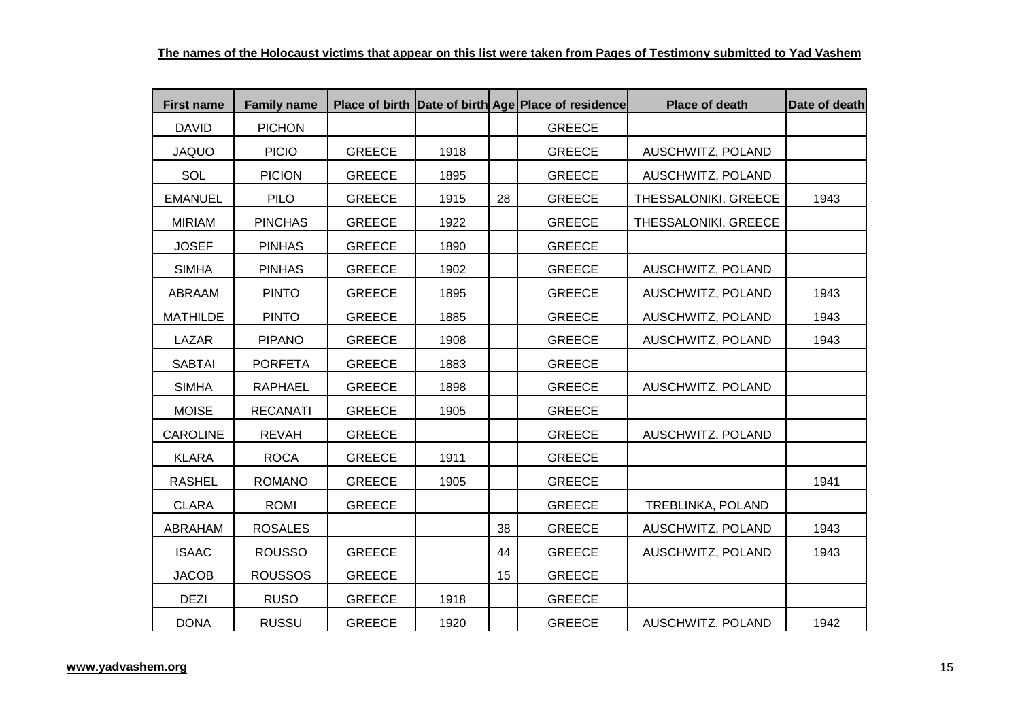| <b>First name</b> | <b>Family name</b> |               |      |    | Place of birth Date of birth Age Place of residence | <b>Place of death</b> | Date of death |
|-------------------|--------------------|---------------|------|----|-----------------------------------------------------|-----------------------|---------------|
| <b>DAVID</b>      | <b>PICHON</b>      |               |      |    | <b>GREECE</b>                                       |                       |               |
| <b>JAQUO</b>      | <b>PICIO</b>       | <b>GREECE</b> | 1918 |    | <b>GREECE</b>                                       | AUSCHWITZ, POLAND     |               |
| SOL               | <b>PICION</b>      | <b>GREECE</b> | 1895 |    | <b>GREECE</b>                                       | AUSCHWITZ, POLAND     |               |
| <b>EMANUEL</b>    | <b>PILO</b>        | <b>GREECE</b> | 1915 | 28 | <b>GREECE</b>                                       | THESSALONIKI, GREECE  | 1943          |
| <b>MIRIAM</b>     | <b>PINCHAS</b>     | <b>GREECE</b> | 1922 |    | <b>GREECE</b>                                       | THESSALONIKI, GREECE  |               |
| <b>JOSEF</b>      | <b>PINHAS</b>      | <b>GREECE</b> | 1890 |    | <b>GREECE</b>                                       |                       |               |
| <b>SIMHA</b>      | <b>PINHAS</b>      | <b>GREECE</b> | 1902 |    | <b>GREECE</b>                                       | AUSCHWITZ, POLAND     |               |
| ABRAAM            | <b>PINTO</b>       | <b>GREECE</b> | 1895 |    | <b>GREECE</b>                                       | AUSCHWITZ, POLAND     | 1943          |
| <b>MATHILDE</b>   | <b>PINTO</b>       | <b>GREECE</b> | 1885 |    | <b>GREECE</b>                                       | AUSCHWITZ, POLAND     | 1943          |
| LAZAR             | <b>PIPANO</b>      | <b>GREECE</b> | 1908 |    | <b>GREECE</b>                                       | AUSCHWITZ, POLAND     | 1943          |
| <b>SABTAI</b>     | <b>PORFETA</b>     | <b>GREECE</b> | 1883 |    | <b>GREECE</b>                                       |                       |               |
| <b>SIMHA</b>      | <b>RAPHAEL</b>     | <b>GREECE</b> | 1898 |    | <b>GREECE</b>                                       | AUSCHWITZ, POLAND     |               |
| <b>MOISE</b>      | <b>RECANATI</b>    | <b>GREECE</b> | 1905 |    | <b>GREECE</b>                                       |                       |               |
| <b>CAROLINE</b>   | <b>REVAH</b>       | <b>GREECE</b> |      |    | <b>GREECE</b>                                       | AUSCHWITZ, POLAND     |               |
| <b>KLARA</b>      | <b>ROCA</b>        | <b>GREECE</b> | 1911 |    | <b>GREECE</b>                                       |                       |               |
| <b>RASHEL</b>     | <b>ROMANO</b>      | <b>GREECE</b> | 1905 |    | <b>GREECE</b>                                       |                       | 1941          |
| <b>CLARA</b>      | ROMI               | <b>GREECE</b> |      |    | <b>GREECE</b>                                       | TREBLINKA, POLAND     |               |
| ABRAHAM           | <b>ROSALES</b>     |               |      | 38 | <b>GREECE</b>                                       | AUSCHWITZ, POLAND     | 1943          |
| <b>ISAAC</b>      | <b>ROUSSO</b>      | <b>GREECE</b> |      | 44 | <b>GREECE</b>                                       | AUSCHWITZ, POLAND     | 1943          |
| <b>JACOB</b>      | <b>ROUSSOS</b>     | <b>GREECE</b> |      | 15 | <b>GREECE</b>                                       |                       |               |
| <b>DEZI</b>       | <b>RUSO</b>        | <b>GREECE</b> | 1918 |    | <b>GREECE</b>                                       |                       |               |
| <b>DONA</b>       | <b>RUSSU</b>       | <b>GREECE</b> | 1920 |    | <b>GREECE</b>                                       | AUSCHWITZ, POLAND     | 1942          |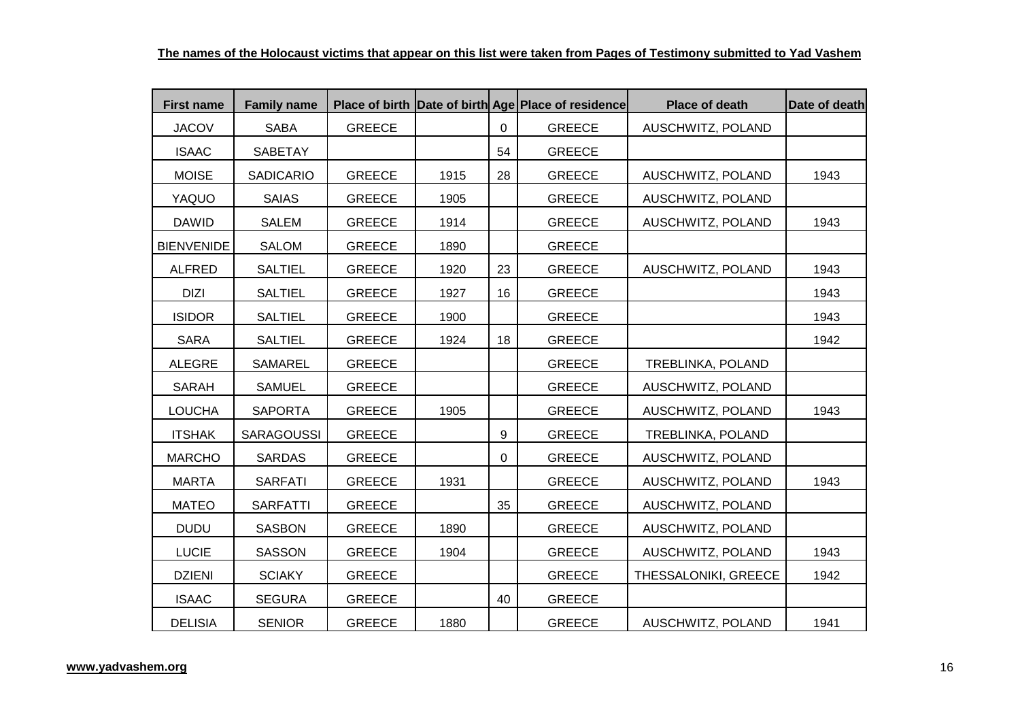| <b>First name</b> | <b>Family name</b> |               |      |              | Place of birth Date of birth Age Place of residence | <b>Place of death</b> | Date of death |
|-------------------|--------------------|---------------|------|--------------|-----------------------------------------------------|-----------------------|---------------|
| <b>JACOV</b>      | <b>SABA</b>        | <b>GREECE</b> |      | $\mathbf{0}$ | <b>GREECE</b>                                       | AUSCHWITZ, POLAND     |               |
| <b>ISAAC</b>      | SABETAY            |               |      | 54           | <b>GREECE</b>                                       |                       |               |
| <b>MOISE</b>      | <b>SADICARIO</b>   | <b>GREECE</b> | 1915 | 28           | <b>GREECE</b>                                       | AUSCHWITZ, POLAND     | 1943          |
| YAQUO             | <b>SAIAS</b>       | <b>GREECE</b> | 1905 |              | <b>GREECE</b>                                       | AUSCHWITZ, POLAND     |               |
| <b>DAWID</b>      | <b>SALEM</b>       | <b>GREECE</b> | 1914 |              | <b>GREECE</b>                                       | AUSCHWITZ, POLAND     | 1943          |
| <b>BIENVENIDE</b> | <b>SALOM</b>       | <b>GREECE</b> | 1890 |              | <b>GREECE</b>                                       |                       |               |
| <b>ALFRED</b>     | <b>SALTIEL</b>     | <b>GREECE</b> | 1920 | 23           | <b>GREECE</b>                                       | AUSCHWITZ, POLAND     | 1943          |
| <b>DIZI</b>       | <b>SALTIEL</b>     | <b>GREECE</b> | 1927 | 16           | <b>GREECE</b>                                       |                       | 1943          |
| <b>ISIDOR</b>     | <b>SALTIEL</b>     | <b>GREECE</b> | 1900 |              | <b>GREECE</b>                                       |                       | 1943          |
| <b>SARA</b>       | <b>SALTIEL</b>     | <b>GREECE</b> | 1924 | 18           | <b>GREECE</b>                                       |                       | 1942          |
| <b>ALEGRE</b>     | SAMAREL            | <b>GREECE</b> |      |              | <b>GREECE</b>                                       | TREBLINKA, POLAND     |               |
| <b>SARAH</b>      | <b>SAMUEL</b>      | <b>GREECE</b> |      |              | <b>GREECE</b>                                       | AUSCHWITZ, POLAND     |               |
| <b>LOUCHA</b>     | <b>SAPORTA</b>     | <b>GREECE</b> | 1905 |              | <b>GREECE</b>                                       | AUSCHWITZ, POLAND     | 1943          |
| <b>ITSHAK</b>     | <b>SARAGOUSSI</b>  | <b>GREECE</b> |      | 9            | <b>GREECE</b>                                       | TREBLINKA, POLAND     |               |
| <b>MARCHO</b>     | <b>SARDAS</b>      | <b>GREECE</b> |      | $\mathbf{0}$ | <b>GREECE</b>                                       | AUSCHWITZ, POLAND     |               |
| <b>MARTA</b>      | <b>SARFATI</b>     | <b>GREECE</b> | 1931 |              | <b>GREECE</b>                                       | AUSCHWITZ, POLAND     | 1943          |
| <b>MATEO</b>      | <b>SARFATTI</b>    | <b>GREECE</b> |      | 35           | <b>GREECE</b>                                       | AUSCHWITZ, POLAND     |               |
| <b>DUDU</b>       | <b>SASBON</b>      | <b>GREECE</b> | 1890 |              | <b>GREECE</b>                                       | AUSCHWITZ, POLAND     |               |
| <b>LUCIE</b>      | SASSON             | <b>GREECE</b> | 1904 |              | <b>GREECE</b>                                       | AUSCHWITZ, POLAND     | 1943          |
| <b>DZIENI</b>     | <b>SCIAKY</b>      | <b>GREECE</b> |      |              | <b>GREECE</b>                                       | THESSALONIKI, GREECE  | 1942          |
| <b>ISAAC</b>      | <b>SEGURA</b>      | <b>GREECE</b> |      | 40           | <b>GREECE</b>                                       |                       |               |
| <b>DELISIA</b>    | <b>SENIOR</b>      | <b>GREECE</b> | 1880 |              | <b>GREECE</b>                                       | AUSCHWITZ, POLAND     | 1941          |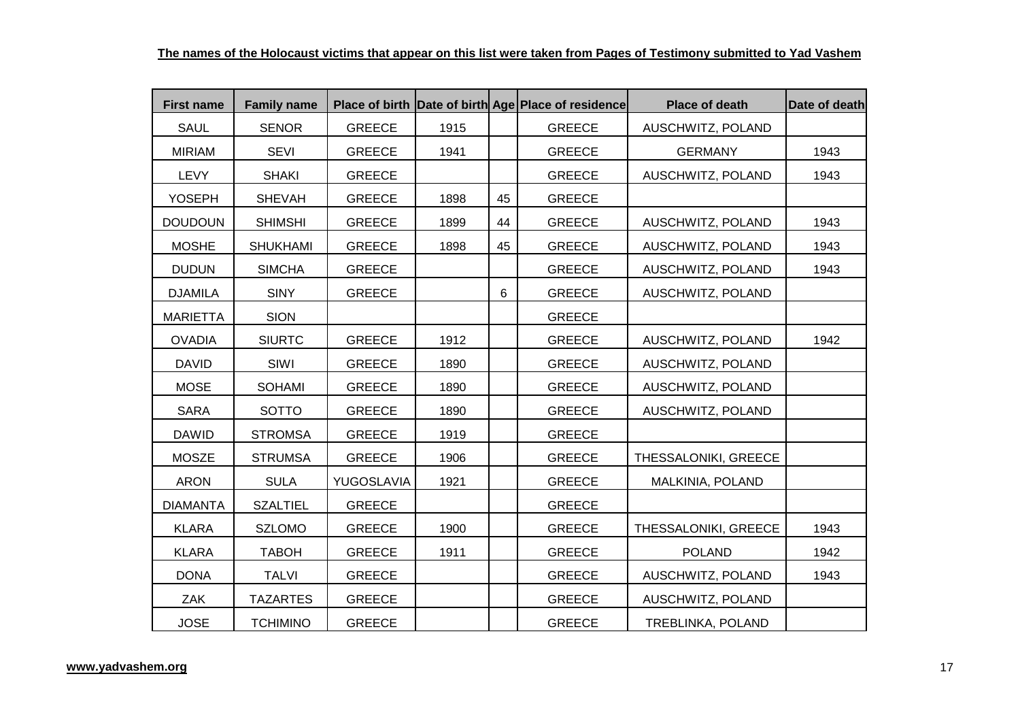| <b>First name</b> | <b>Family name</b> |               |      |                | Place of birth Date of birth Age Place of residence | <b>Place of death</b> | Date of death |
|-------------------|--------------------|---------------|------|----------------|-----------------------------------------------------|-----------------------|---------------|
| <b>SAUL</b>       | <b>SENOR</b>       | <b>GREECE</b> | 1915 |                | <b>GREECE</b>                                       | AUSCHWITZ, POLAND     |               |
| <b>MIRIAM</b>     | <b>SEVI</b>        | <b>GREECE</b> | 1941 |                | <b>GREECE</b>                                       | <b>GERMANY</b>        | 1943          |
| LEVY              | <b>SHAKI</b>       | <b>GREECE</b> |      |                | <b>GREECE</b>                                       | AUSCHWITZ, POLAND     | 1943          |
| <b>YOSEPH</b>     | <b>SHEVAH</b>      | <b>GREECE</b> | 1898 | 45             | <b>GREECE</b>                                       |                       |               |
| <b>DOUDOUN</b>    | <b>SHIMSHI</b>     | <b>GREECE</b> | 1899 | 44             | <b>GREECE</b>                                       | AUSCHWITZ, POLAND     | 1943          |
| <b>MOSHE</b>      | <b>SHUKHAMI</b>    | <b>GREECE</b> | 1898 | 45             | <b>GREECE</b>                                       | AUSCHWITZ, POLAND     | 1943          |
| <b>DUDUN</b>      | <b>SIMCHA</b>      | <b>GREECE</b> |      |                | <b>GREECE</b>                                       | AUSCHWITZ, POLAND     | 1943          |
| <b>DJAMILA</b>    | <b>SINY</b>        | <b>GREECE</b> |      | $6\phantom{1}$ | <b>GREECE</b>                                       | AUSCHWITZ, POLAND     |               |
| <b>MARIETTA</b>   | <b>SION</b>        |               |      |                | <b>GREECE</b>                                       |                       |               |
| <b>OVADIA</b>     | <b>SIURTC</b>      | <b>GREECE</b> | 1912 |                | <b>GREECE</b>                                       | AUSCHWITZ, POLAND     | 1942          |
| <b>DAVID</b>      | SIWI               | <b>GREECE</b> | 1890 |                | <b>GREECE</b>                                       | AUSCHWITZ, POLAND     |               |
| <b>MOSE</b>       | <b>SOHAMI</b>      | <b>GREECE</b> | 1890 |                | GREECE                                              | AUSCHWITZ, POLAND     |               |
| <b>SARA</b>       | <b>SOTTO</b>       | <b>GREECE</b> | 1890 |                | <b>GREECE</b>                                       | AUSCHWITZ, POLAND     |               |
| <b>DAWID</b>      | <b>STROMSA</b>     | <b>GREECE</b> | 1919 |                | <b>GREECE</b>                                       |                       |               |
| <b>MOSZE</b>      | <b>STRUMSA</b>     | <b>GREECE</b> | 1906 |                | <b>GREECE</b>                                       | THESSALONIKI, GREECE  |               |
| <b>ARON</b>       | <b>SULA</b>        | YUGOSLAVIA    | 1921 |                | <b>GREECE</b>                                       | MALKINIA, POLAND      |               |
| <b>DIAMANTA</b>   | <b>SZALTIEL</b>    | <b>GREECE</b> |      |                | <b>GREECE</b>                                       |                       |               |
| <b>KLARA</b>      | <b>SZLOMO</b>      | <b>GREECE</b> | 1900 |                | <b>GREECE</b>                                       | THESSALONIKI, GREECE  | 1943          |
| <b>KLARA</b>      | <b>TABOH</b>       | <b>GREECE</b> | 1911 |                | <b>GREECE</b>                                       | <b>POLAND</b>         | 1942          |
| <b>DONA</b>       | <b>TALVI</b>       | <b>GREECE</b> |      |                | <b>GREECE</b>                                       | AUSCHWITZ, POLAND     | 1943          |
| ZAK               | <b>TAZARTES</b>    | <b>GREECE</b> |      |                | <b>GREECE</b>                                       | AUSCHWITZ, POLAND     |               |
| <b>JOSE</b>       | <b>TCHIMINO</b>    | <b>GREECE</b> |      |                | <b>GREECE</b>                                       | TREBLINKA, POLAND     |               |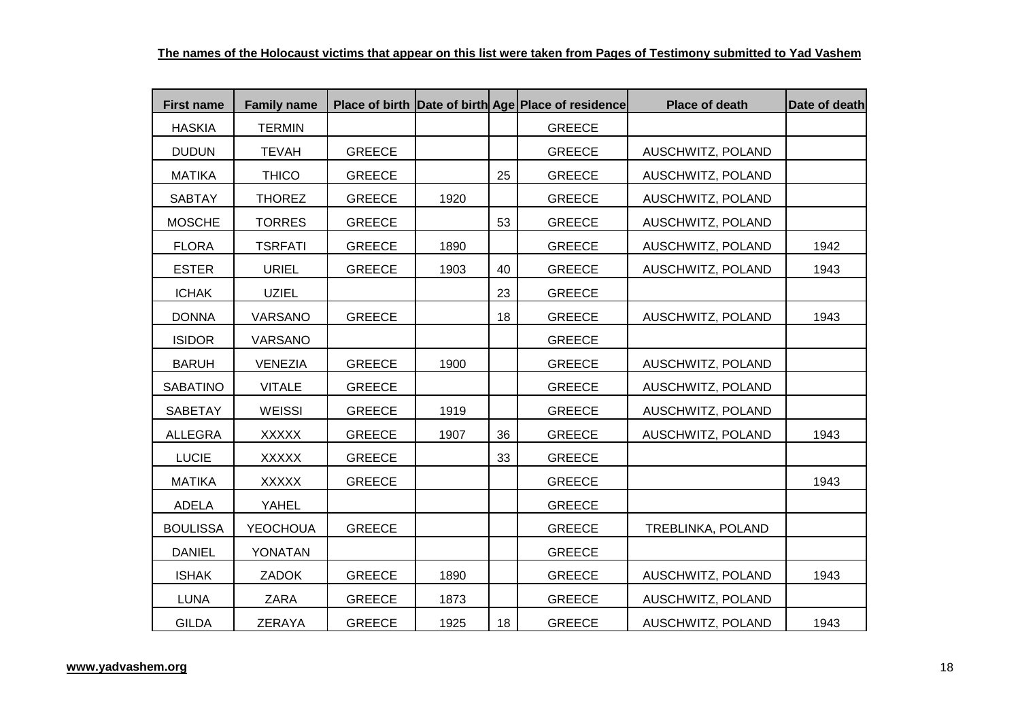| <b>First name</b> | <b>Family name</b> |               |      |    | Place of birth Date of birth Age Place of residence | <b>Place of death</b> | Date of death |
|-------------------|--------------------|---------------|------|----|-----------------------------------------------------|-----------------------|---------------|
| <b>HASKIA</b>     | <b>TERMIN</b>      |               |      |    | <b>GREECE</b>                                       |                       |               |
| <b>DUDUN</b>      | <b>TEVAH</b>       | <b>GREECE</b> |      |    | <b>GREECE</b>                                       | AUSCHWITZ, POLAND     |               |
| <b>MATIKA</b>     | <b>THICO</b>       | <b>GREECE</b> |      | 25 | <b>GREECE</b>                                       | AUSCHWITZ, POLAND     |               |
| <b>SABTAY</b>     | <b>THOREZ</b>      | <b>GREECE</b> | 1920 |    | <b>GREECE</b>                                       | AUSCHWITZ, POLAND     |               |
| <b>MOSCHE</b>     | <b>TORRES</b>      | <b>GREECE</b> |      | 53 | <b>GREECE</b>                                       | AUSCHWITZ, POLAND     |               |
| <b>FLORA</b>      | <b>TSRFATI</b>     | <b>GREECE</b> | 1890 |    | <b>GREECE</b>                                       | AUSCHWITZ, POLAND     | 1942          |
| <b>ESTER</b>      | <b>URIEL</b>       | <b>GREECE</b> | 1903 | 40 | <b>GREECE</b>                                       | AUSCHWITZ, POLAND     | 1943          |
| <b>ICHAK</b>      | <b>UZIEL</b>       |               |      | 23 | <b>GREECE</b>                                       |                       |               |
| <b>DONNA</b>      | <b>VARSANO</b>     | <b>GREECE</b> |      | 18 | <b>GREECE</b>                                       | AUSCHWITZ, POLAND     | 1943          |
| <b>ISIDOR</b>     | VARSANO            |               |      |    | <b>GREECE</b>                                       |                       |               |
| <b>BARUH</b>      | <b>VENEZIA</b>     | <b>GREECE</b> | 1900 |    | <b>GREECE</b>                                       | AUSCHWITZ, POLAND     |               |
| <b>SABATINO</b>   | <b>VITALE</b>      | <b>GREECE</b> |      |    | <b>GREECE</b>                                       | AUSCHWITZ, POLAND     |               |
| <b>SABETAY</b>    | <b>WEISSI</b>      | <b>GREECE</b> | 1919 |    | <b>GREECE</b>                                       | AUSCHWITZ, POLAND     |               |
| <b>ALLEGRA</b>    | <b>XXXXX</b>       | <b>GREECE</b> | 1907 | 36 | <b>GREECE</b>                                       | AUSCHWITZ, POLAND     | 1943          |
| <b>LUCIE</b>      | <b>XXXXX</b>       | <b>GREECE</b> |      | 33 | <b>GREECE</b>                                       |                       |               |
| <b>MATIKA</b>     | <b>XXXXX</b>       | <b>GREECE</b> |      |    | <b>GREECE</b>                                       |                       | 1943          |
| <b>ADELA</b>      | <b>YAHEL</b>       |               |      |    | <b>GREECE</b>                                       |                       |               |
| <b>BOULISSA</b>   | <b>YEOCHOUA</b>    | <b>GREECE</b> |      |    | <b>GREECE</b>                                       | TREBLINKA, POLAND     |               |
| <b>DANIEL</b>     | YONATAN            |               |      |    | <b>GREECE</b>                                       |                       |               |
| <b>ISHAK</b>      | <b>ZADOK</b>       | <b>GREECE</b> | 1890 |    | <b>GREECE</b>                                       | AUSCHWITZ, POLAND     | 1943          |
| <b>LUNA</b>       | <b>ZARA</b>        | <b>GREECE</b> | 1873 |    | <b>GREECE</b>                                       | AUSCHWITZ, POLAND     |               |
| <b>GILDA</b>      | <b>ZERAYA</b>      | <b>GREECE</b> | 1925 | 18 | <b>GREECE</b>                                       | AUSCHWITZ, POLAND     | 1943          |